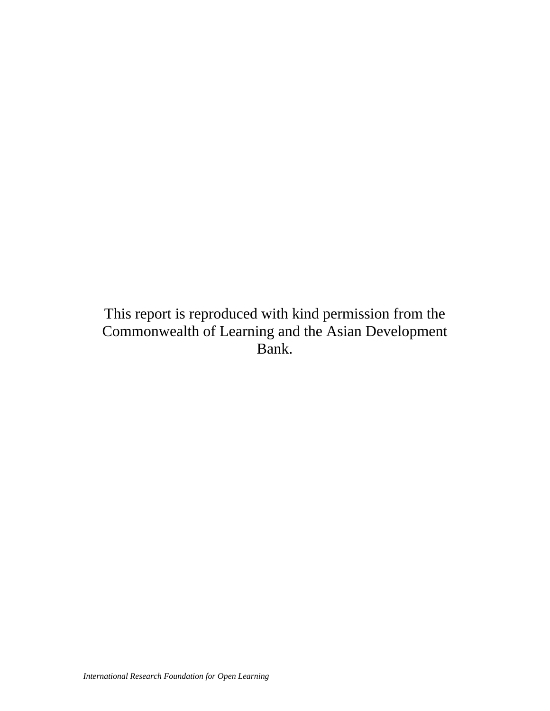This report is reproduced with kind permission from the Commonwealth of Learning and the Asian Development Bank.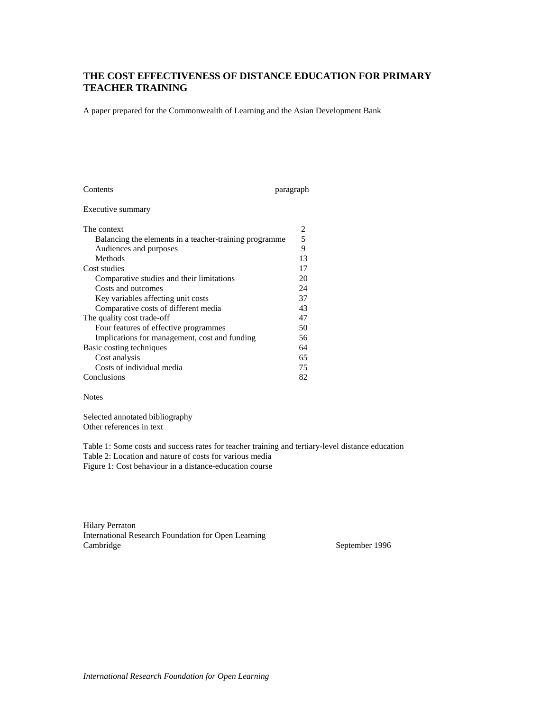## **THE COST EFFECTIVENESS OF DISTANCE EDUCATION FOR PRIMARY TEACHER TRAINING**

A paper prepared for the Commonwealth of Learning and the Asian Development Bank

| Contents                                               | paragraph |
|--------------------------------------------------------|-----------|
| Executive summary                                      |           |
| The context                                            | 2         |
| Balancing the elements in a teacher-training programme | 5         |
| Audiences and purposes                                 | 9         |
| Methods                                                | 13        |
| Cost studies                                           | 17        |
| Comparative studies and their limitations              | 20        |
| Costs and outcomes                                     | 24        |
| Key variables affecting unit costs                     | 37        |
| Comparative costs of different media                   | 43        |
| The quality cost trade-off                             | 47        |
| Four features of effective programmes                  | 50        |
| Implications for management, cost and funding          | 56        |
| Basic costing techniques                               | 64        |
| Cost analysis                                          | 65        |
| Costs of individual media                              | 75        |
| Conclusions                                            | 82        |

#### Notes

Selected annotated bibliography Other references in text

Table 1: Some costs and success rates for teacher training and tertiary-level distance education Table 2: Location and nature of costs for various media Figure 1: Cost behaviour in a distance-education course

Hilary Perraton International Research Foundation for Open Learning Cambridge September 1996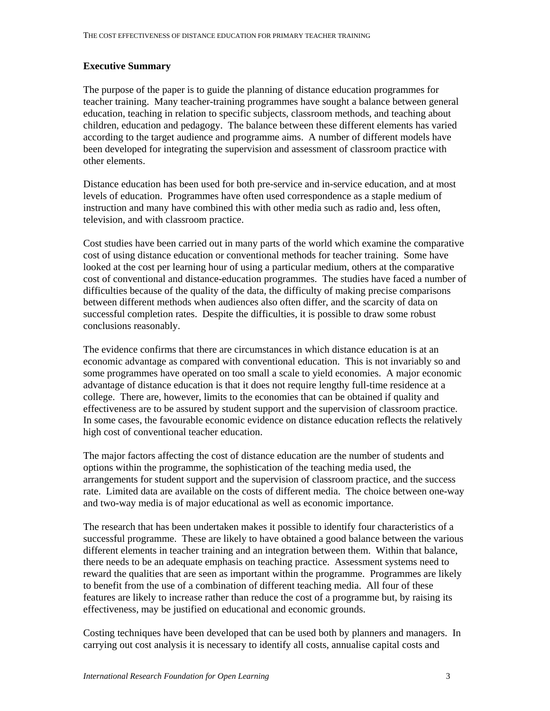## **Executive Summary**

The purpose of the paper is to guide the planning of distance education programmes for teacher training. Many teacher-training programmes have sought a balance between general education, teaching in relation to specific subjects, classroom methods, and teaching about children, education and pedagogy. The balance between these different elements has varied according to the target audience and programme aims. A number of different models have been developed for integrating the supervision and assessment of classroom practice with other elements.

Distance education has been used for both pre-service and in-service education, and at most levels of education. Programmes have often used correspondence as a staple medium of instruction and many have combined this with other media such as radio and, less often, television, and with classroom practice.

Cost studies have been carried out in many parts of the world which examine the comparative cost of using distance education or conventional methods for teacher training. Some have looked at the cost per learning hour of using a particular medium, others at the comparative cost of conventional and distance-education programmes. The studies have faced a number of difficulties because of the quality of the data, the difficulty of making precise comparisons between different methods when audiences also often differ, and the scarcity of data on successful completion rates. Despite the difficulties, it is possible to draw some robust conclusions reasonably.

The evidence confirms that there are circumstances in which distance education is at an economic advantage as compared with conventional education. This is not invariably so and some programmes have operated on too small a scale to yield economies. A major economic advantage of distance education is that it does not require lengthy full-time residence at a college. There are, however, limits to the economies that can be obtained if quality and effectiveness are to be assured by student support and the supervision of classroom practice. In some cases, the favourable economic evidence on distance education reflects the relatively high cost of conventional teacher education.

The major factors affecting the cost of distance education are the number of students and options within the programme, the sophistication of the teaching media used, the arrangements for student support and the supervision of classroom practice, and the success rate. Limited data are available on the costs of different media. The choice between one-way and two-way media is of major educational as well as economic importance.

The research that has been undertaken makes it possible to identify four characteristics of a successful programme. These are likely to have obtained a good balance between the various different elements in teacher training and an integration between them. Within that balance, there needs to be an adequate emphasis on teaching practice. Assessment systems need to reward the qualities that are seen as important within the programme. Programmes are likely to benefit from the use of a combination of different teaching media. All four of these features are likely to increase rather than reduce the cost of a programme but, by raising its effectiveness, may be justified on educational and economic grounds.

Costing techniques have been developed that can be used both by planners and managers. In carrying out cost analysis it is necessary to identify all costs, annualise capital costs and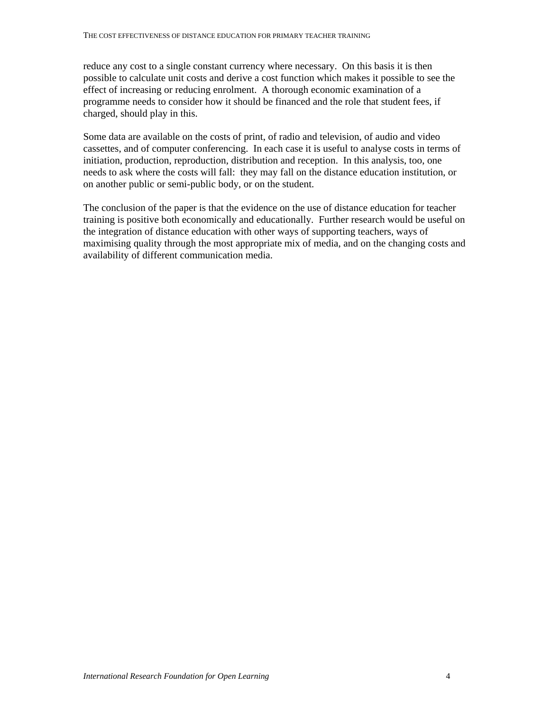reduce any cost to a single constant currency where necessary. On this basis it is then possible to calculate unit costs and derive a cost function which makes it possible to see the effect of increasing or reducing enrolment. A thorough economic examination of a programme needs to consider how it should be financed and the role that student fees, if charged, should play in this.

Some data are available on the costs of print, of radio and television, of audio and video cassettes, and of computer conferencing. In each case it is useful to analyse costs in terms of initiation, production, reproduction, distribution and reception. In this analysis, too, one needs to ask where the costs will fall: they may fall on the distance education institution, or on another public or semi-public body, or on the student.

The conclusion of the paper is that the evidence on the use of distance education for teacher training is positive both economically and educationally. Further research would be useful on the integration of distance education with other ways of supporting teachers, ways of maximising quality through the most appropriate mix of media, and on the changing costs and availability of different communication media.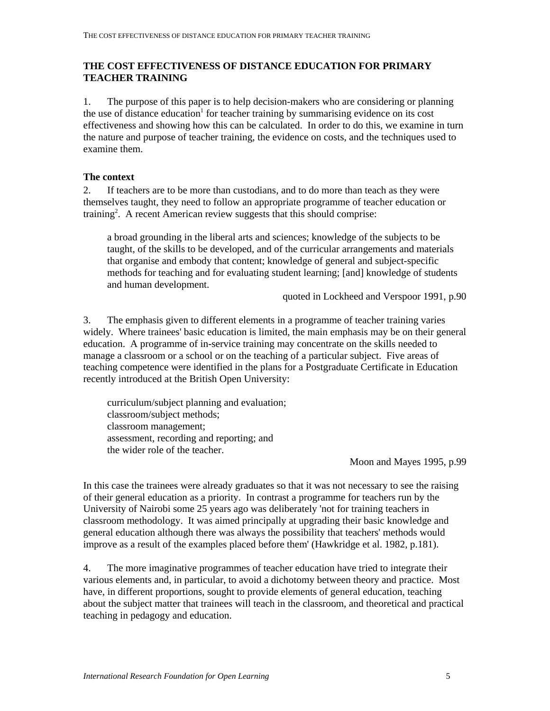# **THE COST EFFECTIVENESS OF DISTANCE EDUCATION FOR PRIMARY TEACHER TRAINING**

1. The purpose of this paper is to help decision-makers who are considering or planning the use of distance education<sup>1</sup> for teacher training by summarising evidence on its cost effectiveness and showing how this can be calculated. In order to do this, we examine in turn the nature and purpose of teacher training, the evidence on costs, and the techniques used to examine them.

### **The context**

2. If teachers are to be more than custodians, and to do more than teach as they were themselves taught, they need to follow an appropriate programme of teacher education or training<sup>2</sup>. A recent American review suggests that this should comprise:

a broad grounding in the liberal arts and sciences; knowledge of the subjects to be taught, of the skills to be developed, and of the curricular arrangements and materials that organise and embody that content; knowledge of general and subject-specific methods for teaching and for evaluating student learning; [and] knowledge of students and human development.

quoted in Lockheed and Verspoor 1991, p.90

3. The emphasis given to different elements in a programme of teacher training varies widely. Where trainees' basic education is limited, the main emphasis may be on their general education. A programme of in-service training may concentrate on the skills needed to manage a classroom or a school or on the teaching of a particular subject. Five areas of teaching competence were identified in the plans for a Postgraduate Certificate in Education recently introduced at the British Open University:

 curriculum/subject planning and evaluation; classroom/subject methods; classroom management; assessment, recording and reporting; and the wider role of the teacher.

Moon and Mayes 1995, p.99

In this case the trainees were already graduates so that it was not necessary to see the raising of their general education as a priority. In contrast a programme for teachers run by the University of Nairobi some 25 years ago was deliberately 'not for training teachers in classroom methodology. It was aimed principally at upgrading their basic knowledge and general education although there was always the possibility that teachers' methods would improve as a result of the examples placed before them' (Hawkridge et al. 1982, p.181).

4. The more imaginative programmes of teacher education have tried to integrate their various elements and, in particular, to avoid a dichotomy between theory and practice. Most have, in different proportions, sought to provide elements of general education, teaching about the subject matter that trainees will teach in the classroom, and theoretical and practical teaching in pedagogy and education.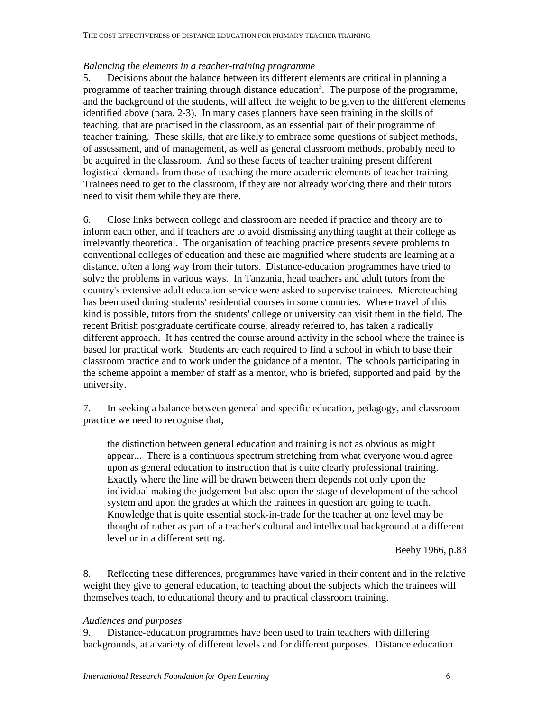#### *Balancing the elements in a teacher-training programme*

5. Decisions about the balance between its different elements are critical in planning a programme of teacher training through distance education<sup>3</sup>. The purpose of the programme, and the background of the students, will affect the weight to be given to the different elements identified above (para. 2-3). In many cases planners have seen training in the skills of teaching, that are practised in the classroom, as an essential part of their programme of teacher training. These skills, that are likely to embrace some questions of subject methods, of assessment, and of management, as well as general classroom methods, probably need to be acquired in the classroom. And so these facets of teacher training present different logistical demands from those of teaching the more academic elements of teacher training. Trainees need to get to the classroom, if they are not already working there and their tutors need to visit them while they are there.

6. Close links between college and classroom are needed if practice and theory are to inform each other, and if teachers are to avoid dismissing anything taught at their college as irrelevantly theoretical. The organisation of teaching practice presents severe problems to conventional colleges of education and these are magnified where students are learning at a distance, often a long way from their tutors. Distance-education programmes have tried to solve the problems in various ways. In Tanzania, head teachers and adult tutors from the country's extensive adult education service were asked to supervise trainees. Microteaching has been used during students' residential courses in some countries. Where travel of this kind is possible, tutors from the students' college or university can visit them in the field. The recent British postgraduate certificate course, already referred to, has taken a radically different approach. It has centred the course around activity in the school where the trainee is based for practical work. Students are each required to find a school in which to base their classroom practice and to work under the guidance of a mentor. The schools participating in the scheme appoint a member of staff as a mentor, who is briefed, supported and paid by the university.

7. In seeking a balance between general and specific education, pedagogy, and classroom practice we need to recognise that,

the distinction between general education and training is not as obvious as might appear... There is a continuous spectrum stretching from what everyone would agree upon as general education to instruction that is quite clearly professional training. Exactly where the line will be drawn between them depends not only upon the individual making the judgement but also upon the stage of development of the school system and upon the grades at which the trainees in question are going to teach. Knowledge that is quite essential stock-in-trade for the teacher at one level may be thought of rather as part of a teacher's cultural and intellectual background at a different level or in a different setting.

Beeby 1966, p.83

8. Reflecting these differences, programmes have varied in their content and in the relative weight they give to general education, to teaching about the subjects which the trainees will themselves teach, to educational theory and to practical classroom training.

### *Audiences and purposes*

9. Distance-education programmes have been used to train teachers with differing backgrounds, at a variety of different levels and for different purposes. Distance education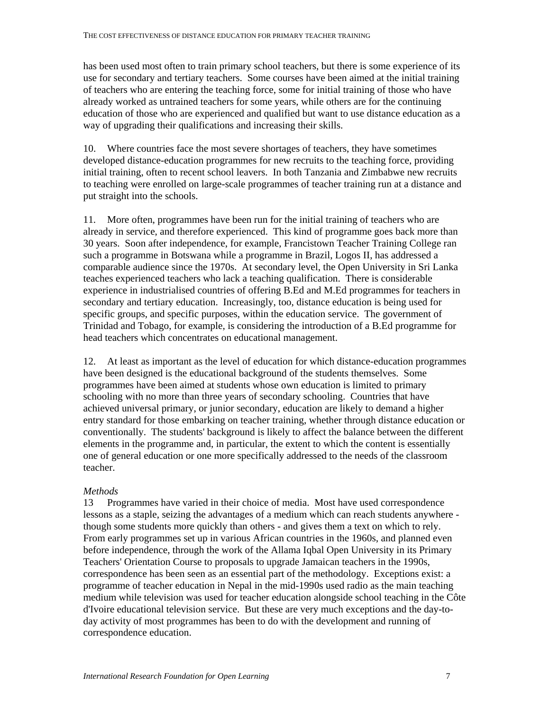has been used most often to train primary school teachers, but there is some experience of its use for secondary and tertiary teachers. Some courses have been aimed at the initial training of teachers who are entering the teaching force, some for initial training of those who have already worked as untrained teachers for some years, while others are for the continuing education of those who are experienced and qualified but want to use distance education as a way of upgrading their qualifications and increasing their skills.

10. Where countries face the most severe shortages of teachers, they have sometimes developed distance-education programmes for new recruits to the teaching force, providing initial training, often to recent school leavers. In both Tanzania and Zimbabwe new recruits to teaching were enrolled on large-scale programmes of teacher training run at a distance and put straight into the schools.

11. More often, programmes have been run for the initial training of teachers who are already in service, and therefore experienced. This kind of programme goes back more than 30 years. Soon after independence, for example, Francistown Teacher Training College ran such a programme in Botswana while a programme in Brazil, Logos II, has addressed a comparable audience since the 1970s. At secondary level, the Open University in Sri Lanka teaches experienced teachers who lack a teaching qualification. There is considerable experience in industrialised countries of offering B.Ed and M.Ed programmes for teachers in secondary and tertiary education. Increasingly, too, distance education is being used for specific groups, and specific purposes, within the education service. The government of Trinidad and Tobago, for example, is considering the introduction of a B.Ed programme for head teachers which concentrates on educational management.

12. At least as important as the level of education for which distance-education programmes have been designed is the educational background of the students themselves. Some programmes have been aimed at students whose own education is limited to primary schooling with no more than three years of secondary schooling. Countries that have achieved universal primary, or junior secondary, education are likely to demand a higher entry standard for those embarking on teacher training, whether through distance education or conventionally. The students' background is likely to affect the balance between the different elements in the programme and, in particular, the extent to which the content is essentially one of general education or one more specifically addressed to the needs of the classroom teacher.

## *Methods*

13 Programmes have varied in their choice of media. Most have used correspondence lessons as a staple, seizing the advantages of a medium which can reach students anywhere though some students more quickly than others - and gives them a text on which to rely. From early programmes set up in various African countries in the 1960s, and planned even before independence, through the work of the Allama Iqbal Open University in its Primary Teachers' Orientation Course to proposals to upgrade Jamaican teachers in the 1990s, correspondence has been seen as an essential part of the methodology. Exceptions exist: a programme of teacher education in Nepal in the mid-1990s used radio as the main teaching medium while television was used for teacher education alongside school teaching in the Côte d'Ivoire educational television service. But these are very much exceptions and the day-today activity of most programmes has been to do with the development and running of correspondence education.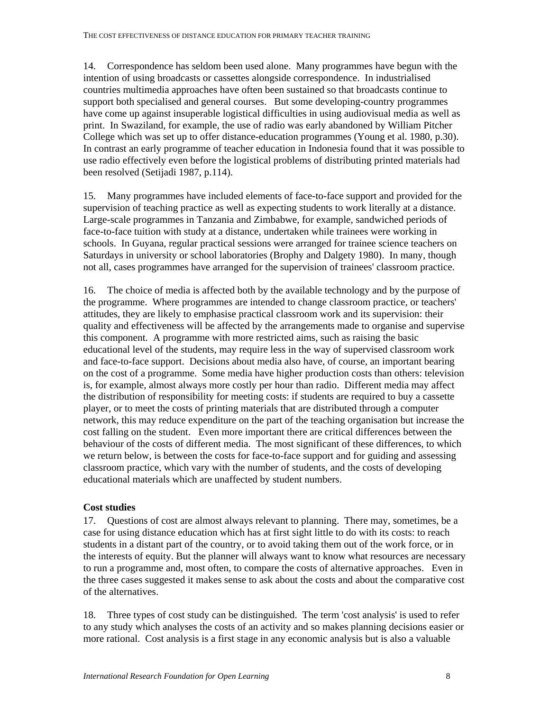14. Correspondence has seldom been used alone. Many programmes have begun with the intention of using broadcasts or cassettes alongside correspondence. In industrialised countries multimedia approaches have often been sustained so that broadcasts continue to support both specialised and general courses. But some developing-country programmes have come up against insuperable logistical difficulties in using audiovisual media as well as print. In Swaziland, for example, the use of radio was early abandoned by William Pitcher College which was set up to offer distance-education programmes (Young et al. 1980, p.30). In contrast an early programme of teacher education in Indonesia found that it was possible to use radio effectively even before the logistical problems of distributing printed materials had been resolved (Setijadi 1987, p.114).

15. Many programmes have included elements of face-to-face support and provided for the supervision of teaching practice as well as expecting students to work literally at a distance. Large-scale programmes in Tanzania and Zimbabwe, for example, sandwiched periods of face-to-face tuition with study at a distance, undertaken while trainees were working in schools. In Guyana, regular practical sessions were arranged for trainee science teachers on Saturdays in university or school laboratories (Brophy and Dalgety 1980). In many, though not all, cases programmes have arranged for the supervision of trainees' classroom practice.

16. The choice of media is affected both by the available technology and by the purpose of the programme. Where programmes are intended to change classroom practice, or teachers' attitudes, they are likely to emphasise practical classroom work and its supervision: their quality and effectiveness will be affected by the arrangements made to organise and supervise this component. A programme with more restricted aims, such as raising the basic educational level of the students, may require less in the way of supervised classroom work and face-to-face support. Decisions about media also have, of course, an important bearing on the cost of a programme. Some media have higher production costs than others: television is, for example, almost always more costly per hour than radio. Different media may affect the distribution of responsibility for meeting costs: if students are required to buy a cassette player, or to meet the costs of printing materials that are distributed through a computer network, this may reduce expenditure on the part of the teaching organisation but increase the cost falling on the student. Even more important there are critical differences between the behaviour of the costs of different media. The most significant of these differences, to which we return below, is between the costs for face-to-face support and for guiding and assessing classroom practice, which vary with the number of students, and the costs of developing educational materials which are unaffected by student numbers.

## **Cost studies**

17. Questions of cost are almost always relevant to planning. There may, sometimes, be a case for using distance education which has at first sight little to do with its costs: to reach students in a distant part of the country, or to avoid taking them out of the work force, or in the interests of equity. But the planner will always want to know what resources are necessary to run a programme and, most often, to compare the costs of alternative approaches. Even in the three cases suggested it makes sense to ask about the costs and about the comparative cost of the alternatives.

18. Three types of cost study can be distinguished. The term 'cost analysis' is used to refer to any study which analyses the costs of an activity and so makes planning decisions easier or more rational. Cost analysis is a first stage in any economic analysis but is also a valuable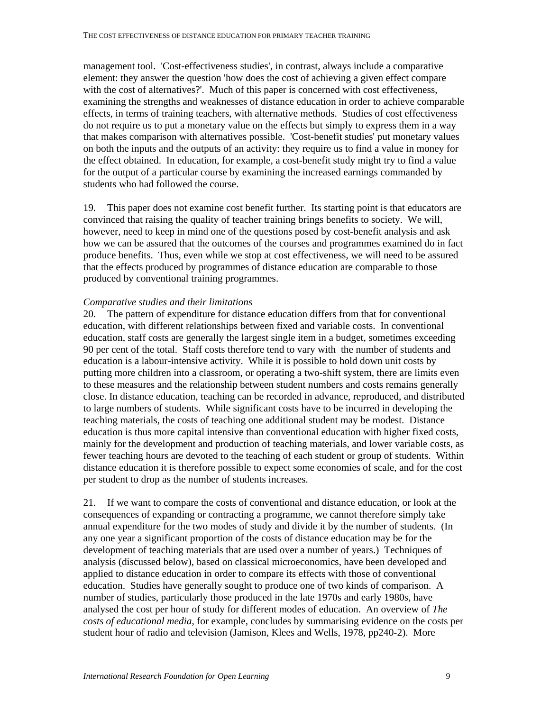management tool. 'Cost-effectiveness studies', in contrast, always include a comparative element: they answer the question 'how does the cost of achieving a given effect compare with the cost of alternatives?'. Much of this paper is concerned with cost effectiveness, examining the strengths and weaknesses of distance education in order to achieve comparable effects, in terms of training teachers, with alternative methods. Studies of cost effectiveness do not require us to put a monetary value on the effects but simply to express them in a way that makes comparison with alternatives possible. 'Cost-benefit studies' put monetary values on both the inputs and the outputs of an activity: they require us to find a value in money for the effect obtained. In education, for example, a cost-benefit study might try to find a value for the output of a particular course by examining the increased earnings commanded by students who had followed the course.

19. This paper does not examine cost benefit further. Its starting point is that educators are convinced that raising the quality of teacher training brings benefits to society. We will, however, need to keep in mind one of the questions posed by cost-benefit analysis and ask how we can be assured that the outcomes of the courses and programmes examined do in fact produce benefits. Thus, even while we stop at cost effectiveness, we will need to be assured that the effects produced by programmes of distance education are comparable to those produced by conventional training programmes.

### *Comparative studies and their limitations*

20. The pattern of expenditure for distance education differs from that for conventional education, with different relationships between fixed and variable costs. In conventional education, staff costs are generally the largest single item in a budget, sometimes exceeding 90 per cent of the total. Staff costs therefore tend to vary with the number of students and education is a labour-intensive activity. While it is possible to hold down unit costs by putting more children into a classroom, or operating a two-shift system, there are limits even to these measures and the relationship between student numbers and costs remains generally close. In distance education, teaching can be recorded in advance, reproduced, and distributed to large numbers of students. While significant costs have to be incurred in developing the teaching materials, the costs of teaching one additional student may be modest. Distance education is thus more capital intensive than conventional education with higher fixed costs, mainly for the development and production of teaching materials, and lower variable costs, as fewer teaching hours are devoted to the teaching of each student or group of students. Within distance education it is therefore possible to expect some economies of scale, and for the cost per student to drop as the number of students increases.

21. If we want to compare the costs of conventional and distance education, or look at the consequences of expanding or contracting a programme, we cannot therefore simply take annual expenditure for the two modes of study and divide it by the number of students. (In any one year a significant proportion of the costs of distance education may be for the development of teaching materials that are used over a number of years.) Techniques of analysis (discussed below), based on classical microeconomics, have been developed and applied to distance education in order to compare its effects with those of conventional education. Studies have generally sought to produce one of two kinds of comparison. A number of studies, particularly those produced in the late 1970s and early 1980s, have analysed the cost per hour of study for different modes of education. An overview of *The costs of educational media*, for example, concludes by summarising evidence on the costs per student hour of radio and television (Jamison, Klees and Wells, 1978, pp240-2). More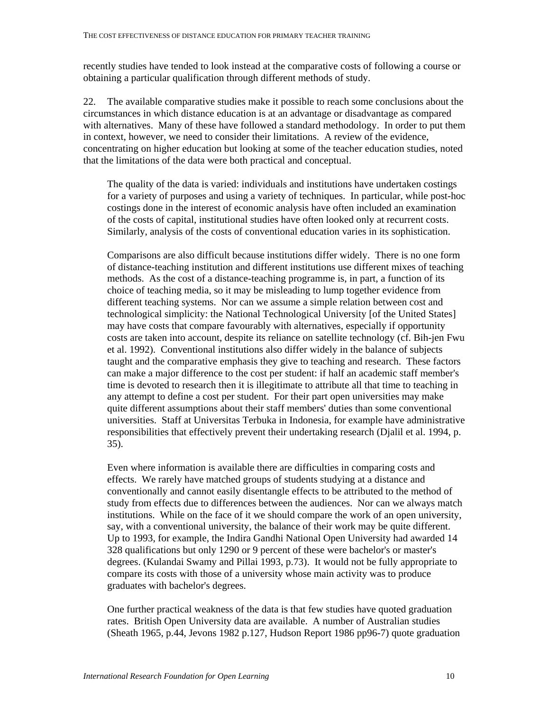recently studies have tended to look instead at the comparative costs of following a course or obtaining a particular qualification through different methods of study.

22. The available comparative studies make it possible to reach some conclusions about the circumstances in which distance education is at an advantage or disadvantage as compared with alternatives. Many of these have followed a standard methodology. In order to put them in context, however, we need to consider their limitations. A review of the evidence, concentrating on higher education but looking at some of the teacher education studies, noted that the limitations of the data were both practical and conceptual.

The quality of the data is varied: individuals and institutions have undertaken costings for a variety of purposes and using a variety of techniques. In particular, while post-hoc costings done in the interest of economic analysis have often included an examination of the costs of capital, institutional studies have often looked only at recurrent costs. Similarly, analysis of the costs of conventional education varies in its sophistication.

Comparisons are also difficult because institutions differ widely. There is no one form of distance-teaching institution and different institutions use different mixes of teaching methods. As the cost of a distance-teaching programme is, in part, a function of its choice of teaching media, so it may be misleading to lump together evidence from different teaching systems. Nor can we assume a simple relation between cost and technological simplicity: the National Technological University [of the United States] may have costs that compare favourably with alternatives, especially if opportunity costs are taken into account, despite its reliance on satellite technology (cf. Bih-jen Fwu et al. 1992). Conventional institutions also differ widely in the balance of subjects taught and the comparative emphasis they give to teaching and research. These factors can make a major difference to the cost per student: if half an academic staff member's time is devoted to research then it is illegitimate to attribute all that time to teaching in any attempt to define a cost per student. For their part open universities may make quite different assumptions about their staff members' duties than some conventional universities. Staff at Universitas Terbuka in Indonesia, for example have administrative responsibilities that effectively prevent their undertaking research (Djalil et al. 1994, p. 35).

Even where information is available there are difficulties in comparing costs and effects. We rarely have matched groups of students studying at a distance and conventionally and cannot easily disentangle effects to be attributed to the method of study from effects due to differences between the audiences. Nor can we always match institutions. While on the face of it we should compare the work of an open university, say, with a conventional university, the balance of their work may be quite different. Up to 1993, for example, the Indira Gandhi National Open University had awarded 14 328 qualifications but only 1290 or 9 percent of these were bachelor's or master's degrees. (Kulandai Swamy and Pillai 1993, p.73). It would not be fully appropriate to compare its costs with those of a university whose main activity was to produce graduates with bachelor's degrees.

One further practical weakness of the data is that few studies have quoted graduation rates. British Open University data are available. A number of Australian studies (Sheath 1965, p.44, Jevons 1982 p.127, Hudson Report 1986 pp96-7) quote graduation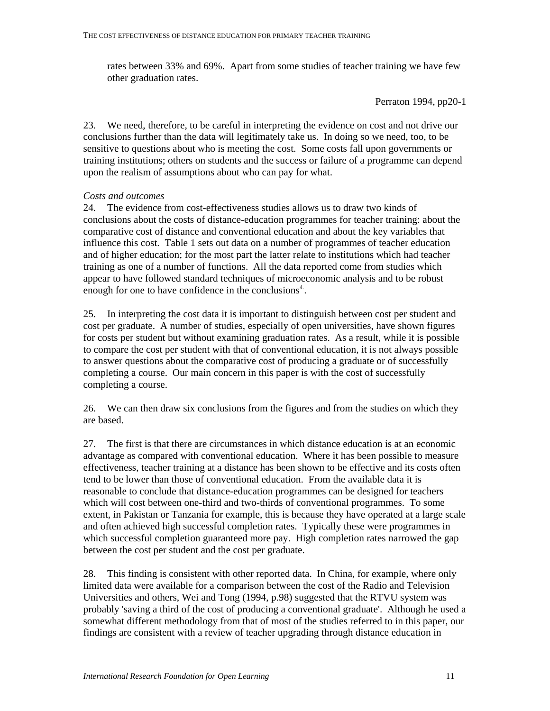rates between 33% and 69%. Apart from some studies of teacher training we have few other graduation rates.

Perraton 1994, pp20-1

23. We need, therefore, to be careful in interpreting the evidence on cost and not drive our conclusions further than the data will legitimately take us. In doing so we need, too, to be sensitive to questions about who is meeting the cost. Some costs fall upon governments or training institutions; others on students and the success or failure of a programme can depend upon the realism of assumptions about who can pay for what.

## *Costs and outcomes*

24. The evidence from cost-effectiveness studies allows us to draw two kinds of conclusions about the costs of distance-education programmes for teacher training: about the comparative cost of distance and conventional education and about the key variables that influence this cost. Table 1 sets out data on a number of programmes of teacher education and of higher education; for the most part the latter relate to institutions which had teacher training as one of a number of functions. All the data reported come from studies which appear to have followed standard techniques of microeconomic analysis and to be robust enough for one to have confidence in the conclusions<sup>4</sup>.

25. In interpreting the cost data it is important to distinguish between cost per student and cost per graduate. A number of studies, especially of open universities, have shown figures for costs per student but without examining graduation rates. As a result, while it is possible to compare the cost per student with that of conventional education, it is not always possible to answer questions about the comparative cost of producing a graduate or of successfully completing a course. Our main concern in this paper is with the cost of successfully completing a course.

26. We can then draw six conclusions from the figures and from the studies on which they are based.

27. The first is that there are circumstances in which distance education is at an economic advantage as compared with conventional education. Where it has been possible to measure effectiveness, teacher training at a distance has been shown to be effective and its costs often tend to be lower than those of conventional education. From the available data it is reasonable to conclude that distance-education programmes can be designed for teachers which will cost between one-third and two-thirds of conventional programmes. To some extent, in Pakistan or Tanzania for example, this is because they have operated at a large scale and often achieved high successful completion rates. Typically these were programmes in which successful completion guaranteed more pay. High completion rates narrowed the gap between the cost per student and the cost per graduate.

28. This finding is consistent with other reported data. In China, for example, where only limited data were available for a comparison between the cost of the Radio and Television Universities and others, Wei and Tong (1994, p.98) suggested that the RTVU system was probably 'saving a third of the cost of producing a conventional graduate'. Although he used a somewhat different methodology from that of most of the studies referred to in this paper, our findings are consistent with a review of teacher upgrading through distance education in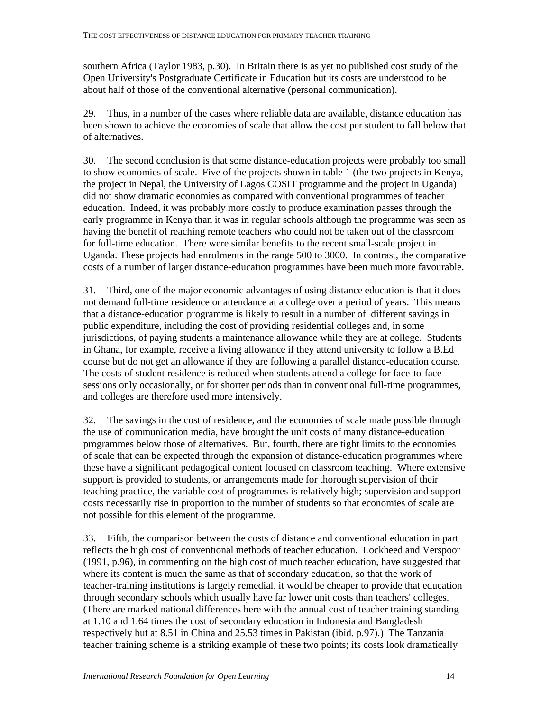southern Africa (Taylor 1983, p.30). In Britain there is as yet no published cost study of the Open University's Postgraduate Certificate in Education but its costs are understood to be about half of those of the conventional alternative (personal communication).

29. Thus, in a number of the cases where reliable data are available, distance education has been shown to achieve the economies of scale that allow the cost per student to fall below that of alternatives.

30. The second conclusion is that some distance-education projects were probably too small to show economies of scale. Five of the projects shown in table 1 (the two projects in Kenya, the project in Nepal, the University of Lagos COSIT programme and the project in Uganda) did not show dramatic economies as compared with conventional programmes of teacher education. Indeed, it was probably more costly to produce examination passes through the early programme in Kenya than it was in regular schools although the programme was seen as having the benefit of reaching remote teachers who could not be taken out of the classroom for full-time education. There were similar benefits to the recent small-scale project in Uganda. These projects had enrolments in the range 500 to 3000. In contrast, the comparative costs of a number of larger distance-education programmes have been much more favourable.

31. Third, one of the major economic advantages of using distance education is that it does not demand full-time residence or attendance at a college over a period of years. This means that a distance-education programme is likely to result in a number of different savings in public expenditure, including the cost of providing residential colleges and, in some jurisdictions, of paying students a maintenance allowance while they are at college. Students in Ghana, for example, receive a living allowance if they attend university to follow a B.Ed course but do not get an allowance if they are following a parallel distance-education course. The costs of student residence is reduced when students attend a college for face-to-face sessions only occasionally, or for shorter periods than in conventional full-time programmes, and colleges are therefore used more intensively.

32. The savings in the cost of residence, and the economies of scale made possible through the use of communication media, have brought the unit costs of many distance-education programmes below those of alternatives. But, fourth, there are tight limits to the economies of scale that can be expected through the expansion of distance-education programmes where these have a significant pedagogical content focused on classroom teaching. Where extensive support is provided to students, or arrangements made for thorough supervision of their teaching practice, the variable cost of programmes is relatively high; supervision and support costs necessarily rise in proportion to the number of students so that economies of scale are not possible for this element of the programme.

33. Fifth, the comparison between the costs of distance and conventional education in part reflects the high cost of conventional methods of teacher education. Lockheed and Verspoor (1991, p.96), in commenting on the high cost of much teacher education, have suggested that where its content is much the same as that of secondary education, so that the work of teacher-training institutions is largely remedial, it would be cheaper to provide that education through secondary schools which usually have far lower unit costs than teachers' colleges. (There are marked national differences here with the annual cost of teacher training standing at 1.10 and 1.64 times the cost of secondary education in Indonesia and Bangladesh respectively but at 8.51 in China and 25.53 times in Pakistan (ibid. p.97).) The Tanzania teacher training scheme is a striking example of these two points; its costs look dramatically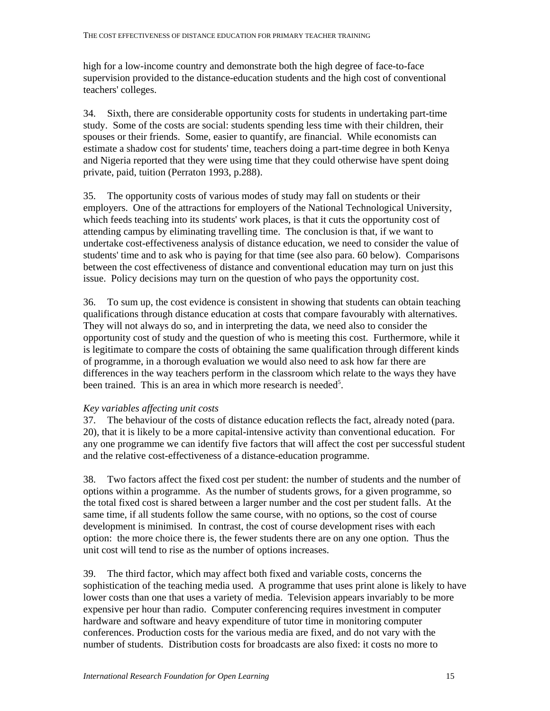high for a low-income country and demonstrate both the high degree of face-to-face supervision provided to the distance-education students and the high cost of conventional teachers' colleges.

34. Sixth, there are considerable opportunity costs for students in undertaking part-time study. Some of the costs are social: students spending less time with their children, their spouses or their friends. Some, easier to quantify, are financial. While economists can estimate a shadow cost for students' time, teachers doing a part-time degree in both Kenya and Nigeria reported that they were using time that they could otherwise have spent doing private, paid, tuition (Perraton 1993, p.288).

35. The opportunity costs of various modes of study may fall on students or their employers. One of the attractions for employers of the National Technological University, which feeds teaching into its students' work places, is that it cuts the opportunity cost of attending campus by eliminating travelling time. The conclusion is that, if we want to undertake cost-effectiveness analysis of distance education, we need to consider the value of students' time and to ask who is paying for that time (see also para. 60 below). Comparisons between the cost effectiveness of distance and conventional education may turn on just this issue. Policy decisions may turn on the question of who pays the opportunity cost.

36. To sum up, the cost evidence is consistent in showing that students can obtain teaching qualifications through distance education at costs that compare favourably with alternatives. They will not always do so, and in interpreting the data, we need also to consider the opportunity cost of study and the question of who is meeting this cost. Furthermore, while it is legitimate to compare the costs of obtaining the same qualification through different kinds of programme, in a thorough evaluation we would also need to ask how far there are differences in the way teachers perform in the classroom which relate to the ways they have been trained. This is an area in which more research is needed<sup>5</sup>.

### *Key variables affecting unit costs*

37. The behaviour of the costs of distance education reflects the fact, already noted (para. 20), that it is likely to be a more capital-intensive activity than conventional education. For any one programme we can identify five factors that will affect the cost per successful student and the relative cost-effectiveness of a distance-education programme.

38. Two factors affect the fixed cost per student: the number of students and the number of options within a programme. As the number of students grows, for a given programme, so the total fixed cost is shared between a larger number and the cost per student falls. At the same time, if all students follow the same course, with no options, so the cost of course development is minimised. In contrast, the cost of course development rises with each option: the more choice there is, the fewer students there are on any one option. Thus the unit cost will tend to rise as the number of options increases.

39. The third factor, which may affect both fixed and variable costs, concerns the sophistication of the teaching media used. A programme that uses print alone is likely to have lower costs than one that uses a variety of media. Television appears invariably to be more expensive per hour than radio. Computer conferencing requires investment in computer hardware and software and heavy expenditure of tutor time in monitoring computer conferences. Production costs for the various media are fixed, and do not vary with the number of students. Distribution costs for broadcasts are also fixed: it costs no more to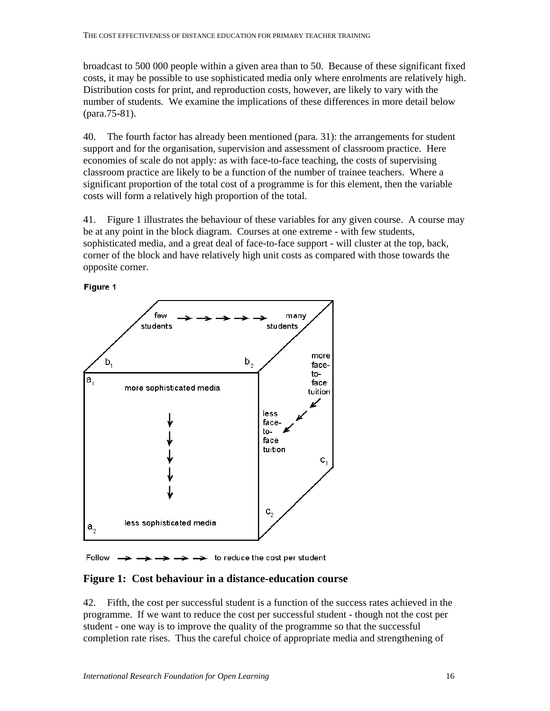broadcast to 500 000 people within a given area than to 50. Because of these significant fixed costs, it may be possible to use sophisticated media only where enrolments are relatively high. Distribution costs for print, and reproduction costs, however, are likely to vary with the number of students. We examine the implications of these differences in more detail below (para.75-81).

40. The fourth factor has already been mentioned (para. 31): the arrangements for student support and for the organisation, supervision and assessment of classroom practice. Here economies of scale do not apply: as with face-to-face teaching, the costs of supervising classroom practice are likely to be a function of the number of trainee teachers. Where a significant proportion of the total cost of a programme is for this element, then the variable costs will form a relatively high proportion of the total.

41. Figure 1 illustrates the behaviour of these variables for any given course. A course may be at any point in the block diagram. Courses at one extreme - with few students, sophisticated media, and a great deal of face-to-face support - will cluster at the top, back, corner of the block and have relatively high unit costs as compared with those towards the opposite corner.



Figure 1

Follow  $\rightarrow$   $\rightarrow$   $\rightarrow$  to reduce the cost per student

### **Figure 1: Cost behaviour in a distance-education course**

42. Fifth, the cost per successful student is a function of the success rates achieved in the programme. If we want to reduce the cost per successful student - though not the cost per student - one way is to improve the quality of the programme so that the successful completion rate rises. Thus the careful choice of appropriate media and strengthening of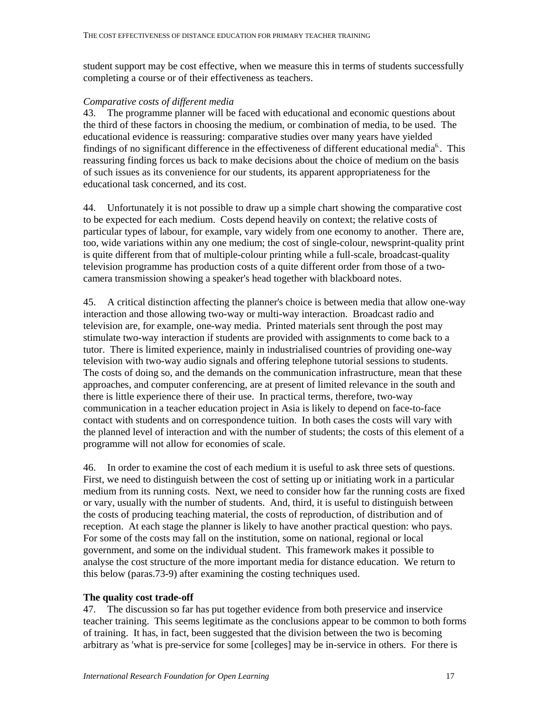student support may be cost effective, when we measure this in terms of students successfully completing a course or of their effectiveness as teachers.

## *Comparative costs of different media*

43. The programme planner will be faced with educational and economic questions about the third of these factors in choosing the medium, or combination of media, to be used. The educational evidence is reassuring: comparative studies over many years have yielded findings of no significant difference in the effectiveness of different educational media<sup>6</sup>. This reassuring finding forces us back to make decisions about the choice of medium on the basis of such issues as its convenience for our students, its apparent appropriateness for the educational task concerned, and its cost.

44. Unfortunately it is not possible to draw up a simple chart showing the comparative cost to be expected for each medium. Costs depend heavily on context; the relative costs of particular types of labour, for example, vary widely from one economy to another. There are, too, wide variations within any one medium; the cost of single-colour, newsprint-quality print is quite different from that of multiple-colour printing while a full-scale, broadcast-quality television programme has production costs of a quite different order from those of a twocamera transmission showing a speaker's head together with blackboard notes.

45. A critical distinction affecting the planner's choice is between media that allow one-way interaction and those allowing two-way or multi-way interaction. Broadcast radio and television are, for example, one-way media. Printed materials sent through the post may stimulate two-way interaction if students are provided with assignments to come back to a tutor. There is limited experience, mainly in industrialised countries of providing one-way television with two-way audio signals and offering telephone tutorial sessions to students. The costs of doing so, and the demands on the communication infrastructure, mean that these approaches, and computer conferencing, are at present of limited relevance in the south and there is little experience there of their use. In practical terms, therefore, two-way communication in a teacher education project in Asia is likely to depend on face-to-face contact with students and on correspondence tuition. In both cases the costs will vary with the planned level of interaction and with the number of students; the costs of this element of a programme will not allow for economies of scale.

46. In order to examine the cost of each medium it is useful to ask three sets of questions. First, we need to distinguish between the cost of setting up or initiating work in a particular medium from its running costs. Next, we need to consider how far the running costs are fixed or vary, usually with the number of students. And, third, it is useful to distinguish between the costs of producing teaching material, the costs of reproduction, of distribution and of reception. At each stage the planner is likely to have another practical question: who pays. For some of the costs may fall on the institution, some on national, regional or local government, and some on the individual student. This framework makes it possible to analyse the cost structure of the more important media for distance education. We return to this below (paras.73-9) after examining the costing techniques used.

## **The quality cost trade-off**

47. The discussion so far has put together evidence from both preservice and inservice teacher training. This seems legitimate as the conclusions appear to be common to both forms of training. It has, in fact, been suggested that the division between the two is becoming arbitrary as 'what is pre-service for some [colleges] may be in-service in others. For there is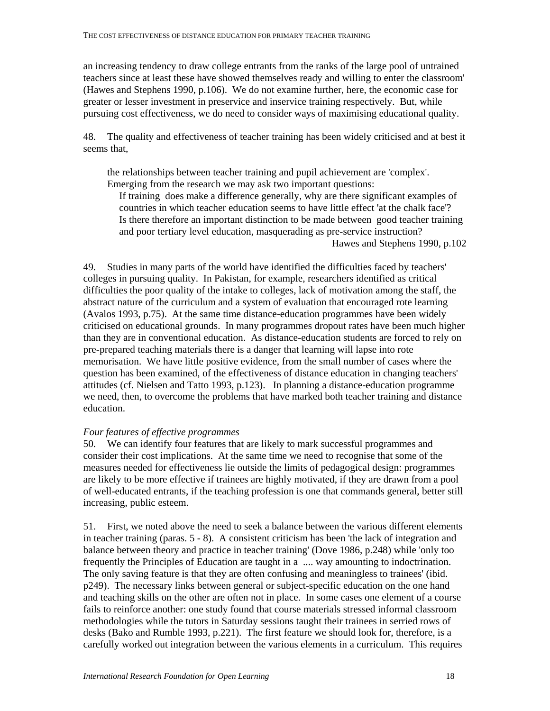an increasing tendency to draw college entrants from the ranks of the large pool of untrained teachers since at least these have showed themselves ready and willing to enter the classroom' (Hawes and Stephens 1990, p.106). We do not examine further, here, the economic case for greater or lesser investment in preservice and inservice training respectively. But, while pursuing cost effectiveness, we do need to consider ways of maximising educational quality.

48. The quality and effectiveness of teacher training has been widely criticised and at best it seems that,

the relationships between teacher training and pupil achievement are 'complex'. Emerging from the research we may ask two important questions:

If training does make a difference generally, why are there significant examples of countries in which teacher education seems to have little effect 'at the chalk face'? Is there therefore an important distinction to be made between good teacher training and poor tertiary level education, masquerading as pre-service instruction? Hawes and Stephens 1990, p.102

49. Studies in many parts of the world have identified the difficulties faced by teachers' colleges in pursuing quality. In Pakistan, for example, researchers identified as critical difficulties the poor quality of the intake to colleges, lack of motivation among the staff, the abstract nature of the curriculum and a system of evaluation that encouraged rote learning (Avalos 1993, p.75). At the same time distance-education programmes have been widely criticised on educational grounds. In many programmes dropout rates have been much higher than they are in conventional education. As distance-education students are forced to rely on pre-prepared teaching materials there is a danger that learning will lapse into rote memorisation. We have little positive evidence, from the small number of cases where the question has been examined, of the effectiveness of distance education in changing teachers' attitudes (cf. Nielsen and Tatto 1993, p.123). In planning a distance-education programme we need, then, to overcome the problems that have marked both teacher training and distance education.

### *Four features of effective programmes*

50. We can identify four features that are likely to mark successful programmes and consider their cost implications. At the same time we need to recognise that some of the measures needed for effectiveness lie outside the limits of pedagogical design: programmes are likely to be more effective if trainees are highly motivated, if they are drawn from a pool of well-educated entrants, if the teaching profession is one that commands general, better still increasing, public esteem.

51. First, we noted above the need to seek a balance between the various different elements in teacher training (paras. 5 - 8). A consistent criticism has been 'the lack of integration and balance between theory and practice in teacher training' (Dove 1986, p.248) while 'only too frequently the Principles of Education are taught in a .... way amounting to indoctrination. The only saving feature is that they are often confusing and meaningless to trainees' (ibid. p249). The necessary links between general or subject-specific education on the one hand and teaching skills on the other are often not in place. In some cases one element of a course fails to reinforce another: one study found that course materials stressed informal classroom methodologies while the tutors in Saturday sessions taught their trainees in serried rows of desks (Bako and Rumble 1993, p.221). The first feature we should look for, therefore, is a carefully worked out integration between the various elements in a curriculum. This requires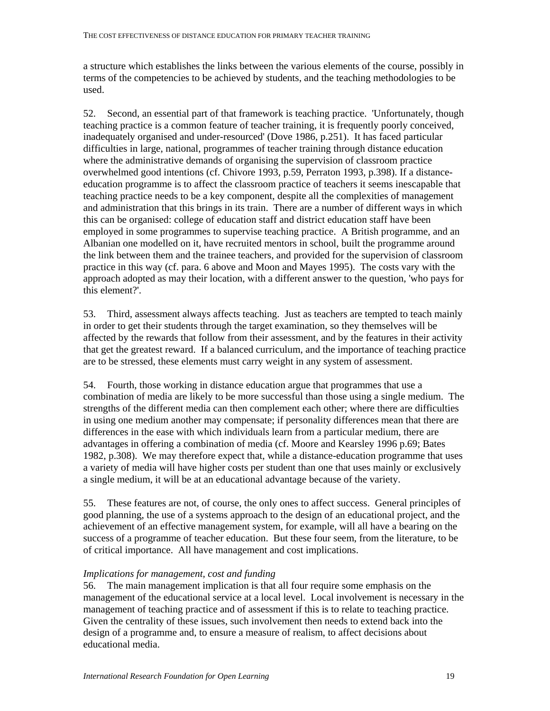a structure which establishes the links between the various elements of the course, possibly in terms of the competencies to be achieved by students, and the teaching methodologies to be used.

52. Second, an essential part of that framework is teaching practice. 'Unfortunately, though teaching practice is a common feature of teacher training, it is frequently poorly conceived, inadequately organised and under-resourced' (Dove 1986, p.251). It has faced particular difficulties in large, national, programmes of teacher training through distance education where the administrative demands of organising the supervision of classroom practice overwhelmed good intentions (cf. Chivore 1993, p.59, Perraton 1993, p.398). If a distanceeducation programme is to affect the classroom practice of teachers it seems inescapable that teaching practice needs to be a key component, despite all the complexities of management and administration that this brings in its train. There are a number of different ways in which this can be organised: college of education staff and district education staff have been employed in some programmes to supervise teaching practice. A British programme, and an Albanian one modelled on it, have recruited mentors in school, built the programme around the link between them and the trainee teachers, and provided for the supervision of classroom practice in this way (cf. para. 6 above and Moon and Mayes 1995). The costs vary with the approach adopted as may their location, with a different answer to the question, 'who pays for this element?'.

53. Third, assessment always affects teaching. Just as teachers are tempted to teach mainly in order to get their students through the target examination, so they themselves will be affected by the rewards that follow from their assessment, and by the features in their activity that get the greatest reward. If a balanced curriculum, and the importance of teaching practice are to be stressed, these elements must carry weight in any system of assessment.

54. Fourth, those working in distance education argue that programmes that use a combination of media are likely to be more successful than those using a single medium. The strengths of the different media can then complement each other; where there are difficulties in using one medium another may compensate; if personality differences mean that there are differences in the ease with which individuals learn from a particular medium, there are advantages in offering a combination of media (cf. Moore and Kearsley 1996 p.69; Bates 1982, p.308). We may therefore expect that, while a distance-education programme that uses a variety of media will have higher costs per student than one that uses mainly or exclusively a single medium, it will be at an educational advantage because of the variety.

55. These features are not, of course, the only ones to affect success. General principles of good planning, the use of a systems approach to the design of an educational project, and the achievement of an effective management system, for example, will all have a bearing on the success of a programme of teacher education. But these four seem, from the literature, to be of critical importance. All have management and cost implications.

### *Implications for management, cost and funding*

56. The main management implication is that all four require some emphasis on the management of the educational service at a local level. Local involvement is necessary in the management of teaching practice and of assessment if this is to relate to teaching practice. Given the centrality of these issues, such involvement then needs to extend back into the design of a programme and, to ensure a measure of realism, to affect decisions about educational media.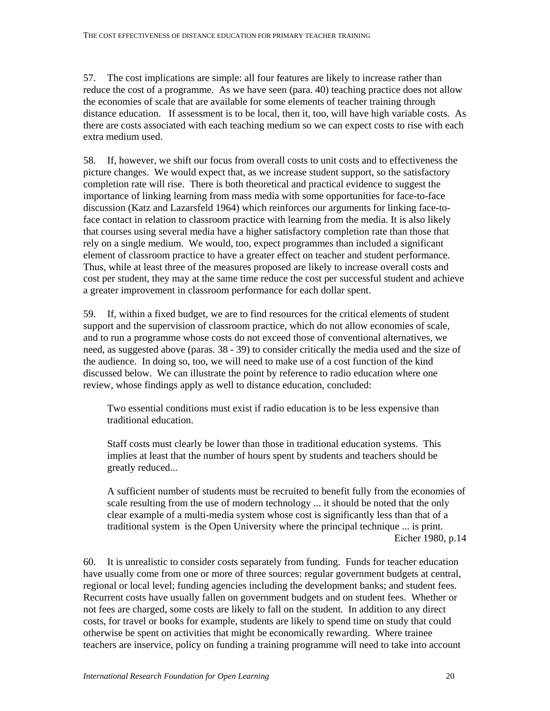57. The cost implications are simple: all four features are likely to increase rather than reduce the cost of a programme. As we have seen (para. 40) teaching practice does not allow the economies of scale that are available for some elements of teacher training through distance education. If assessment is to be local, then it, too, will have high variable costs. As there are costs associated with each teaching medium so we can expect costs to rise with each extra medium used.

58. If, however, we shift our focus from overall costs to unit costs and to effectiveness the picture changes. We would expect that, as we increase student support, so the satisfactory completion rate will rise. There is both theoretical and practical evidence to suggest the importance of linking learning from mass media with some opportunities for face-to-face discussion (Katz and Lazarsfeld 1964) which reinforces our arguments for linking face-toface contact in relation to classroom practice with learning from the media. It is also likely that courses using several media have a higher satisfactory completion rate than those that rely on a single medium. We would, too, expect programmes than included a significant element of classroom practice to have a greater effect on teacher and student performance. Thus, while at least three of the measures proposed are likely to increase overall costs and cost per student, they may at the same time reduce the cost per successful student and achieve a greater improvement in classroom performance for each dollar spent.

59. If, within a fixed budget, we are to find resources for the critical elements of student support and the supervision of classroom practice, which do not allow economies of scale, and to run a programme whose costs do not exceed those of conventional alternatives, we need, as suggested above (paras. 38 - 39) to consider critically the media used and the size of the audience. In doing so, too, we will need to make use of a cost function of the kind discussed below. We can illustrate the point by reference to radio education where one review, whose findings apply as well to distance education, concluded:

Two essential conditions must exist if radio education is to be less expensive than traditional education.

Staff costs must clearly be lower than those in traditional education systems. This implies at least that the number of hours spent by students and teachers should be greatly reduced...

A sufficient number of students must be recruited to benefit fully from the economies of scale resulting from the use of modern technology ... it should be noted that the only clear example of a multi-media system whose cost is significantly less than that of a traditional system is the Open University where the principal technique ... is print. Eicher 1980, p.14

60. It is unrealistic to consider costs separately from funding. Funds for teacher education have usually come from one or more of three sources: regular government budgets at central, regional or local level; funding agencies including the development banks; and student fees. Recurrent costs have usually fallen on government budgets and on student fees. Whether or not fees are charged, some costs are likely to fall on the student. In addition to any direct costs, for travel or books for example, students are likely to spend time on study that could otherwise be spent on activities that might be economically rewarding. Where trainee teachers are inservice, policy on funding a training programme will need to take into account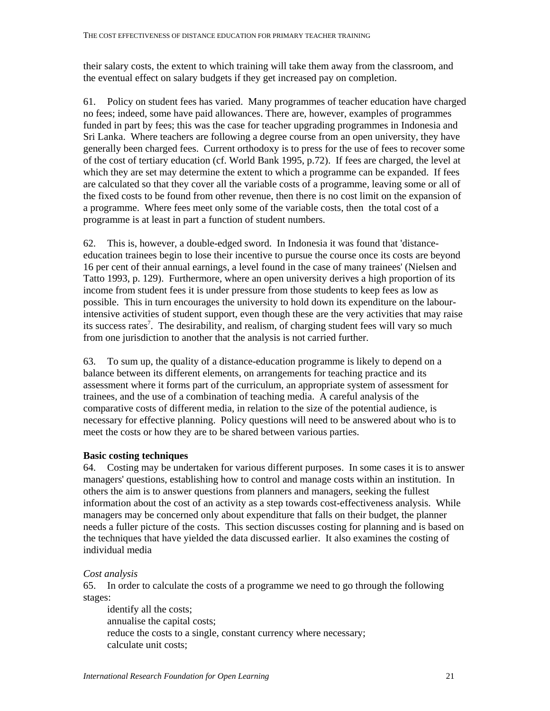their salary costs, the extent to which training will take them away from the classroom, and the eventual effect on salary budgets if they get increased pay on completion.

61. Policy on student fees has varied. Many programmes of teacher education have charged no fees; indeed, some have paid allowances. There are, however, examples of programmes funded in part by fees; this was the case for teacher upgrading programmes in Indonesia and Sri Lanka. Where teachers are following a degree course from an open university, they have generally been charged fees. Current orthodoxy is to press for the use of fees to recover some of the cost of tertiary education (cf. World Bank 1995, p.72). If fees are charged, the level at which they are set may determine the extent to which a programme can be expanded. If fees are calculated so that they cover all the variable costs of a programme, leaving some or all of the fixed costs to be found from other revenue, then there is no cost limit on the expansion of a programme. Where fees meet only some of the variable costs, then the total cost of a programme is at least in part a function of student numbers.

62. This is, however, a double-edged sword. In Indonesia it was found that 'distanceeducation trainees begin to lose their incentive to pursue the course once its costs are beyond 16 per cent of their annual earnings, a level found in the case of many trainees' (Nielsen and Tatto 1993, p. 129). Furthermore, where an open university derives a high proportion of its income from student fees it is under pressure from those students to keep fees as low as possible. This in turn encourages the university to hold down its expenditure on the labourintensive activities of student support, even though these are the very activities that may raise its success rates<sup>7</sup>. The desirability, and realism, of charging student fees will vary so much from one jurisdiction to another that the analysis is not carried further.

63. To sum up, the quality of a distance-education programme is likely to depend on a balance between its different elements, on arrangements for teaching practice and its assessment where it forms part of the curriculum, an appropriate system of assessment for trainees, and the use of a combination of teaching media. A careful analysis of the comparative costs of different media, in relation to the size of the potential audience, is necessary for effective planning. Policy questions will need to be answered about who is to meet the costs or how they are to be shared between various parties.

### **Basic costing techniques**

64. Costing may be undertaken for various different purposes. In some cases it is to answer managers' questions, establishing how to control and manage costs within an institution. In others the aim is to answer questions from planners and managers, seeking the fullest information about the cost of an activity as a step towards cost-effectiveness analysis. While managers may be concerned only about expenditure that falls on their budget, the planner needs a fuller picture of the costs. This section discusses costing for planning and is based on the techniques that have yielded the data discussed earlier. It also examines the costing of individual media

### *Cost analysis*

65. In order to calculate the costs of a programme we need to go through the following stages:

 identify all the costs; annualise the capital costs; reduce the costs to a single, constant currency where necessary; calculate unit costs;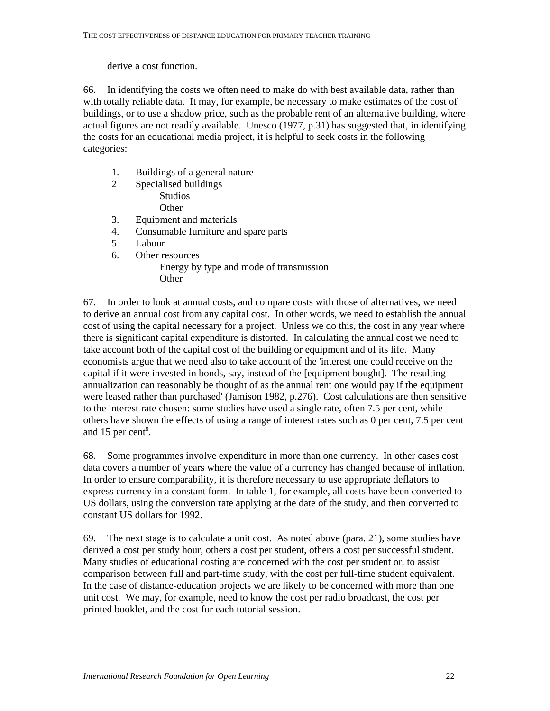derive a cost function.

66. In identifying the costs we often need to make do with best available data, rather than with totally reliable data. It may, for example, be necessary to make estimates of the cost of buildings, or to use a shadow price, such as the probable rent of an alternative building, where actual figures are not readily available. Unesco (1977, p.31) has suggested that, in identifying the costs for an educational media project, it is helpful to seek costs in the following categories:

- 1. Buildings of a general nature
- 2 Specialised buildings Studios **Other**
- 3. Equipment and materials
- 4. Consumable furniture and spare parts
- 5. Labour
- 6. Other resources

 Energy by type and mode of transmission **Other** 

67. In order to look at annual costs, and compare costs with those of alternatives, we need to derive an annual cost from any capital cost. In other words, we need to establish the annual cost of using the capital necessary for a project. Unless we do this, the cost in any year where there is significant capital expenditure is distorted. In calculating the annual cost we need to take account both of the capital cost of the building or equipment and of its life. Many economists argue that we need also to take account of the 'interest one could receive on the capital if it were invested in bonds, say, instead of the [equipment bought]. The resulting annualization can reasonably be thought of as the annual rent one would pay if the equipment were leased rather than purchased' (Jamison 1982, p.276). Cost calculations are then sensitive to the interest rate chosen: some studies have used a single rate, often 7.5 per cent, while others have shown the effects of using a range of interest rates such as 0 per cent, 7.5 per cent and 15 per cent $8$ .

68. Some programmes involve expenditure in more than one currency. In other cases cost data covers a number of years where the value of a currency has changed because of inflation. In order to ensure comparability, it is therefore necessary to use appropriate deflators to express currency in a constant form. In table 1, for example, all costs have been converted to US dollars, using the conversion rate applying at the date of the study, and then converted to constant US dollars for 1992.

69. The next stage is to calculate a unit cost. As noted above (para. 21), some studies have derived a cost per study hour, others a cost per student, others a cost per successful student. Many studies of educational costing are concerned with the cost per student or, to assist comparison between full and part-time study, with the cost per full-time student equivalent. In the case of distance-education projects we are likely to be concerned with more than one unit cost. We may, for example, need to know the cost per radio broadcast, the cost per printed booklet, and the cost for each tutorial session.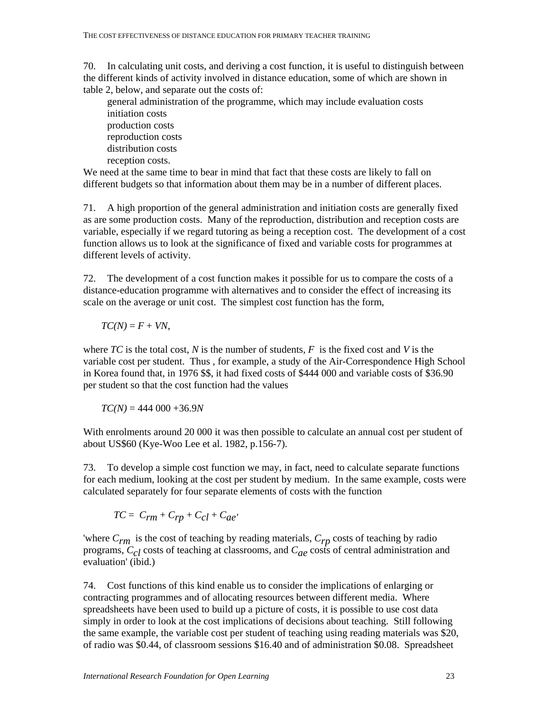70. In calculating unit costs, and deriving a cost function, it is useful to distinguish between the different kinds of activity involved in distance education, some of which are shown in table 2, below, and separate out the costs of:

 general administration of the programme, which may include evaluation costs initiation costs production costs reproduction costs distribution costs reception costs.

We need at the same time to bear in mind that fact that these costs are likely to fall on different budgets so that information about them may be in a number of different places.

71. A high proportion of the general administration and initiation costs are generally fixed as are some production costs. Many of the reproduction, distribution and reception costs are variable, especially if we regard tutoring as being a reception cost. The development of a cost function allows us to look at the significance of fixed and variable costs for programmes at different levels of activity.

72. The development of a cost function makes it possible for us to compare the costs of a distance-education programme with alternatives and to consider the effect of increasing its scale on the average or unit cost. The simplest cost function has the form,

 $TC(N) = F + VN$ ,

where *TC* is the total cost, *N* is the number of students, *F* is the fixed cost and *V* is the variable cost per student. Thus , for example, a study of the Air-Correspondence High School in Korea found that, in 1976 \$\$, it had fixed costs of \$444 000 and variable costs of \$36.90 per student so that the cost function had the values

 $TC(N) = 444\,000 + 36.9N$ 

With enrolments around 20 000 it was then possible to calculate an annual cost per student of about US\$60 (Kye-Woo Lee et al. 1982, p.156-7).

73. To develop a simple cost function we may, in fact, need to calculate separate functions for each medium, looking at the cost per student by medium. In the same example, costs were calculated separately for four separate elements of costs with the function

$$
TC = C_{rm} + C_{rp} + C_{cl} + C_{ae'}
$$

'where *Crm* is the cost of teaching by reading materials, *Crp* costs of teaching by radio programs, *Ccl* costs of teaching at classrooms, and *Cae* costs of central administration and evaluation' (ibid.)

74. Cost functions of this kind enable us to consider the implications of enlarging or contracting programmes and of allocating resources between different media. Where spreadsheets have been used to build up a picture of costs, it is possible to use cost data simply in order to look at the cost implications of decisions about teaching. Still following the same example, the variable cost per student of teaching using reading materials was \$20, of radio was \$0.44, of classroom sessions \$16.40 and of administration \$0.08. Spreadsheet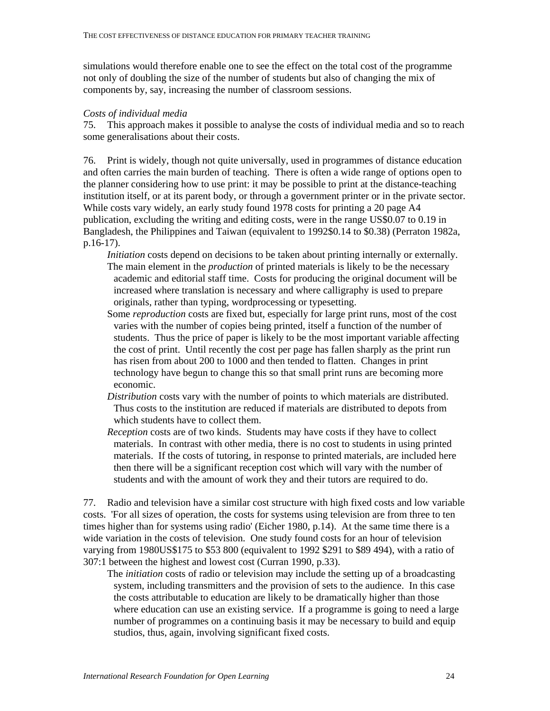simulations would therefore enable one to see the effect on the total cost of the programme not only of doubling the size of the number of students but also of changing the mix of components by, say, increasing the number of classroom sessions.

#### *Costs of individual media*

75. This approach makes it possible to analyse the costs of individual media and so to reach some generalisations about their costs.

76. Print is widely, though not quite universally, used in programmes of distance education and often carries the main burden of teaching. There is often a wide range of options open to the planner considering how to use print: it may be possible to print at the distance-teaching institution itself, or at its parent body, or through a government printer or in the private sector. While costs vary widely, an early study found 1978 costs for printing a 20 page A4 publication, excluding the writing and editing costs, were in the range US\$0.07 to 0.19 in Bangladesh, the Philippines and Taiwan (equivalent to 1992\$0.14 to \$0.38) (Perraton 1982a, p.16-17).

- *Initiation* costs depend on decisions to be taken about printing internally or externally. The main element in the *production* of printed materials is likely to be the necessary academic and editorial staff time. Costs for producing the original document will be increased where translation is necessary and where calligraphy is used to prepare originals, rather than typing, wordprocessing or typesetting.
- Some *reproduction* costs are fixed but, especially for large print runs, most of the cost varies with the number of copies being printed, itself a function of the number of students. Thus the price of paper is likely to be the most important variable affecting the cost of print. Until recently the cost per page has fallen sharply as the print run has risen from about 200 to 1000 and then tended to flatten. Changes in print technology have begun to change this so that small print runs are becoming more economic.
- *Distribution* costs vary with the number of points to which materials are distributed. Thus costs to the institution are reduced if materials are distributed to depots from which students have to collect them.
- *Reception* costs are of two kinds. Students may have costs if they have to collect materials. In contrast with other media, there is no cost to students in using printed materials. If the costs of tutoring, in response to printed materials, are included here then there will be a significant reception cost which will vary with the number of students and with the amount of work they and their tutors are required to do.

77. Radio and television have a similar cost structure with high fixed costs and low variable costs. 'For all sizes of operation, the costs for systems using television are from three to ten times higher than for systems using radio' (Eicher 1980, p.14). At the same time there is a wide variation in the costs of television. One study found costs for an hour of television varying from 1980US\$175 to \$53 800 (equivalent to 1992 \$291 to \$89 494), with a ratio of 307:1 between the highest and lowest cost (Curran 1990, p.33).

 The *initiation* costs of radio or television may include the setting up of a broadcasting system, including transmitters and the provision of sets to the audience. In this case the costs attributable to education are likely to be dramatically higher than those where education can use an existing service. If a programme is going to need a large number of programmes on a continuing basis it may be necessary to build and equip studios, thus, again, involving significant fixed costs.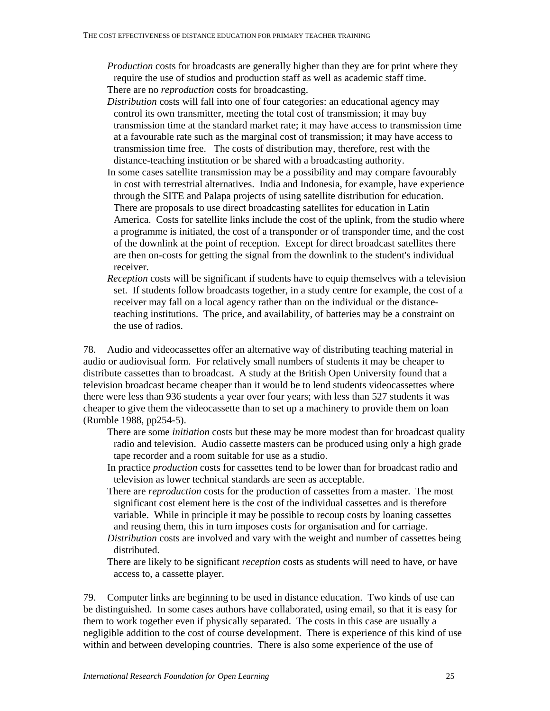- *Production* costs for broadcasts are generally higher than they are for print where they require the use of studios and production staff as well as academic staff time. There are no *reproduction* costs for broadcasting.
- *Distribution* costs will fall into one of four categories: an educational agency may control its own transmitter, meeting the total cost of transmission; it may buy transmission time at the standard market rate; it may have access to transmission time at a favourable rate such as the marginal cost of transmission; it may have access to transmission time free. The costs of distribution may, therefore, rest with the distance-teaching institution or be shared with a broadcasting authority.
- In some cases satellite transmission may be a possibility and may compare favourably in cost with terrestrial alternatives. India and Indonesia, for example, have experience through the SITE and Palapa projects of using satellite distribution for education. There are proposals to use direct broadcasting satellites for education in Latin America. Costs for satellite links include the cost of the uplink, from the studio where a programme is initiated, the cost of a transponder or of transponder time, and the cost of the downlink at the point of reception. Except for direct broadcast satellites there are then on-costs for getting the signal from the downlink to the student's individual receiver.
- *Reception* costs will be significant if students have to equip themselves with a television set. If students follow broadcasts together, in a study centre for example, the cost of a receiver may fall on a local agency rather than on the individual or the distanceteaching institutions. The price, and availability, of batteries may be a constraint on the use of radios.

78. Audio and videocassettes offer an alternative way of distributing teaching material in audio or audiovisual form. For relatively small numbers of students it may be cheaper to distribute cassettes than to broadcast. A study at the British Open University found that a television broadcast became cheaper than it would be to lend students videocassettes where there were less than 936 students a year over four years; with less than 527 students it was cheaper to give them the videocassette than to set up a machinery to provide them on loan (Rumble 1988, pp254-5).

- There are some *initiation* costs but these may be more modest than for broadcast quality radio and television. Audio cassette masters can be produced using only a high grade tape recorder and a room suitable for use as a studio.
- In practice *production* costs for cassettes tend to be lower than for broadcast radio and television as lower technical standards are seen as acceptable.
- There are *reproduction* costs for the production of cassettes from a master. The most significant cost element here is the cost of the individual cassettes and is therefore variable. While in principle it may be possible to recoup costs by loaning cassettes and reusing them, this in turn imposes costs for organisation and for carriage.
- *Distribution* costs are involved and vary with the weight and number of cassettes being distributed.
- There are likely to be significant *reception* costs as students will need to have, or have access to, a cassette player.

79. Computer links are beginning to be used in distance education. Two kinds of use can be distinguished. In some cases authors have collaborated, using email, so that it is easy for them to work together even if physically separated. The costs in this case are usually a negligible addition to the cost of course development. There is experience of this kind of use within and between developing countries. There is also some experience of the use of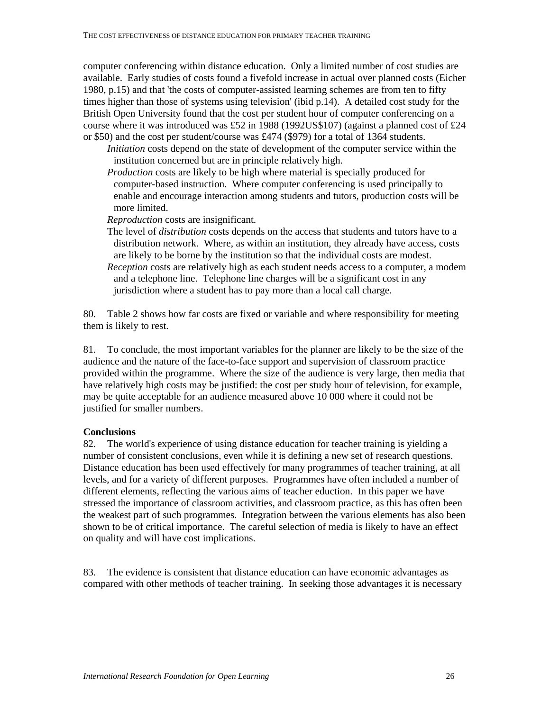computer conferencing within distance education. Only a limited number of cost studies are available. Early studies of costs found a fivefold increase in actual over planned costs (Eicher 1980, p.15) and that 'the costs of computer-assisted learning schemes are from ten to fifty times higher than those of systems using television' (ibid p.14). A detailed cost study for the British Open University found that the cost per student hour of computer conferencing on a course where it was introduced was £52 in 1988 (1992US\$107) (against a planned cost of £24 or \$50) and the cost per student/course was £474 (\$979) for a total of 1364 students.

- *Initiation* costs depend on the state of development of the computer service within the institution concerned but are in principle relatively high.
- *Production* costs are likely to be high where material is specially produced for computer-based instruction. Where computer conferencing is used principally to enable and encourage interaction among students and tutors, production costs will be more limited.
- *Reproduction* costs are insignificant.
- The level of *distribution* costs depends on the access that students and tutors have to a distribution network. Where, as within an institution, they already have access, costs are likely to be borne by the institution so that the individual costs are modest. *Reception* costs are relatively high as each student needs access to a computer, a modem and a telephone line. Telephone line charges will be a significant cost in any jurisdiction where a student has to pay more than a local call charge.

80. Table 2 shows how far costs are fixed or variable and where responsibility for meeting them is likely to rest.

81. To conclude, the most important variables for the planner are likely to be the size of the audience and the nature of the face-to-face support and supervision of classroom practice provided within the programme. Where the size of the audience is very large, then media that have relatively high costs may be justified: the cost per study hour of television, for example, may be quite acceptable for an audience measured above 10 000 where it could not be justified for smaller numbers.

### **Conclusions**

82. The world's experience of using distance education for teacher training is yielding a number of consistent conclusions, even while it is defining a new set of research questions. Distance education has been used effectively for many programmes of teacher training, at all levels, and for a variety of different purposes. Programmes have often included a number of different elements, reflecting the various aims of teacher eduction. In this paper we have stressed the importance of classroom activities, and classroom practice, as this has often been the weakest part of such programmes. Integration between the various elements has also been shown to be of critical importance. The careful selection of media is likely to have an effect on quality and will have cost implications.

83. The evidence is consistent that distance education can have economic advantages as compared with other methods of teacher training. In seeking those advantages it is necessary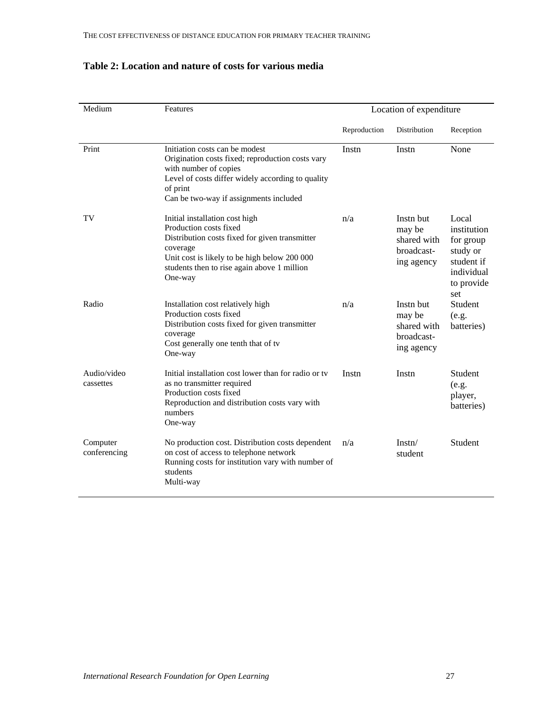| Medium                   | Features                                                                                                                                                                                                                         | Location of expenditure |                                                                |                                                                                                |  |
|--------------------------|----------------------------------------------------------------------------------------------------------------------------------------------------------------------------------------------------------------------------------|-------------------------|----------------------------------------------------------------|------------------------------------------------------------------------------------------------|--|
|                          |                                                                                                                                                                                                                                  | Reproduction            | Distribution                                                   | Reception                                                                                      |  |
| Print                    | Initiation costs can be modest<br>Origination costs fixed; reproduction costs vary<br>with number of copies<br>Level of costs differ widely according to quality<br>of print<br>Can be two-way if assignments included           | Instn                   | Instn                                                          | None                                                                                           |  |
| TV                       | Initial installation cost high<br>Production costs fixed<br>Distribution costs fixed for given transmitter<br>coverage<br>Unit cost is likely to be high below 200 000<br>students then to rise again above 1 million<br>One-way | n/a                     | Instn but<br>may be<br>shared with<br>broadcast-<br>ing agency | Local<br>institution<br>for group<br>study or<br>student if<br>individual<br>to provide<br>set |  |
| Radio                    | Installation cost relatively high<br>Production costs fixed<br>Distribution costs fixed for given transmitter<br>coverage<br>Cost generally one tenth that of tv<br>One-way                                                      | n/a                     | Instn but<br>may be<br>shared with<br>broadcast-<br>ing agency | Student<br>(e.g.<br>batteries)                                                                 |  |
| Audio/video<br>cassettes | Initial installation cost lower than for radio or ty<br>as no transmitter required<br>Production costs fixed<br>Reproduction and distribution costs vary with<br>numbers<br>One-way                                              | Instn                   | Instn                                                          | Student<br>(e.g.<br>player,<br>batteries)                                                      |  |
| Computer<br>conferencing | No production cost. Distribution costs dependent<br>on cost of access to telephone network<br>Running costs for institution vary with number of<br>students<br>Multi-way                                                         | n/a                     | Instr/<br>student                                              | Student                                                                                        |  |

# **Table 2: Location and nature of costs for various media**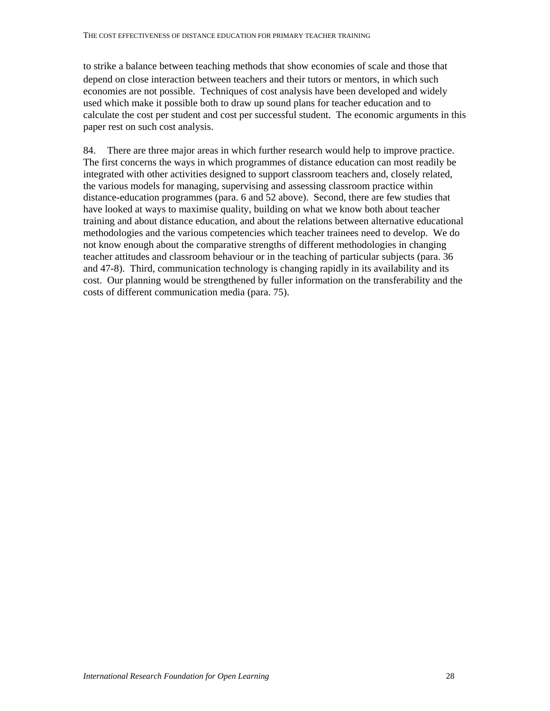to strike a balance between teaching methods that show economies of scale and those that depend on close interaction between teachers and their tutors or mentors, in which such economies are not possible. Techniques of cost analysis have been developed and widely used which make it possible both to draw up sound plans for teacher education and to calculate the cost per student and cost per successful student. The economic arguments in this paper rest on such cost analysis.

84. There are three major areas in which further research would help to improve practice. The first concerns the ways in which programmes of distance education can most readily be integrated with other activities designed to support classroom teachers and, closely related, the various models for managing, supervising and assessing classroom practice within distance-education programmes (para. 6 and 52 above). Second, there are few studies that have looked at ways to maximise quality, building on what we know both about teacher training and about distance education, and about the relations between alternative educational methodologies and the various competencies which teacher trainees need to develop. We do not know enough about the comparative strengths of different methodologies in changing teacher attitudes and classroom behaviour or in the teaching of particular subjects (para. 36 and 47-8). Third, communication technology is changing rapidly in its availability and its cost. Our planning would be strengthened by fuller information on the transferability and the costs of different communication media (para. 75).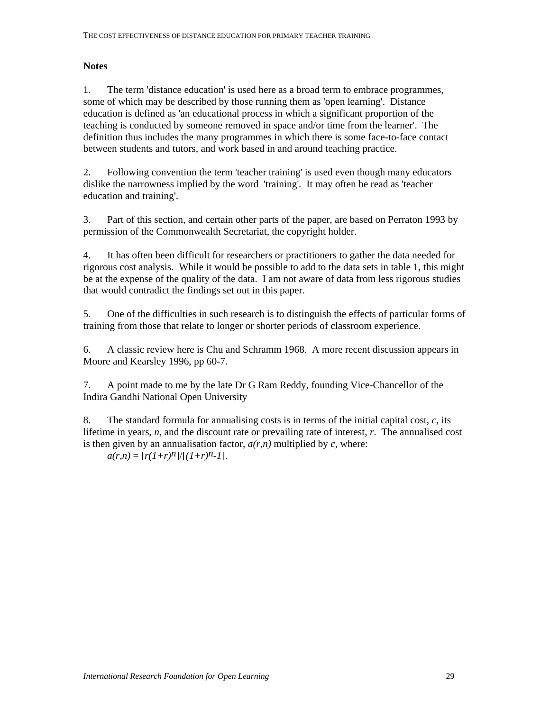## **Notes**

1. The term 'distance education' is used here as a broad term to embrace programmes, some of which may be described by those running them as 'open learning'. Distance education is defined as 'an educational process in which a significant proportion of the teaching is conducted by someone removed in space and/or time from the learner'. The definition thus includes the many programmes in which there is some face-to-face contact between students and tutors, and work based in and around teaching practice.

2. Following convention the term 'teacher training' is used even though many educators dislike the narrowness implied by the word 'training'. It may often be read as 'teacher education and training'.

3. Part of this section, and certain other parts of the paper, are based on Perraton 1993 by permission of the Commonwealth Secretariat, the copyright holder.

4. It has often been difficult for researchers or practitioners to gather the data needed for rigorous cost analysis. While it would be possible to add to the data sets in table 1, this might be at the expense of the quality of the data. I am not aware of data from less rigorous studies that would contradict the findings set out in this paper.

5. One of the difficulties in such research is to distinguish the effects of particular forms of training from those that relate to longer or shorter periods of classroom experience.

6. A classic review here is Chu and Schramm 1968. A more recent discussion appears in Moore and Kearsley 1996, pp 60-7.

7. A point made to me by the late Dr G Ram Reddy, founding Vice-Chancellor of the Indira Gandhi National Open University

8. The standard formula for annualising costs is in terms of the initial capital cost, *c*, its lifetime in years, *n*, and the discount rate or prevailing rate of interest, *r*. The annualised cost is then given by an annualisation factor,  $a(r,n)$  multiplied by  $c$ , where:

 $a(r,n) = [r(1+r)^n]/[(1+r)^{n-1}].$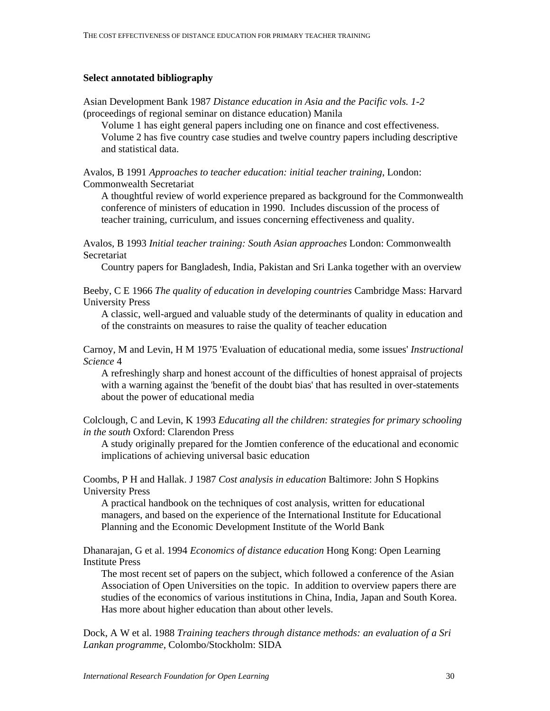#### **Select annotated bibliography**

Asian Development Bank 1987 *Distance education in Asia and the Pacific vols. 1-2* (proceedings of regional seminar on distance education) Manila

Volume 1 has eight general papers including one on finance and cost effectiveness. Volume 2 has five country case studies and twelve country papers including descriptive and statistical data.

Avalos, B 1991 *Approaches to teacher education: initial teacher training*, London: Commonwealth Secretariat

A thoughtful review of world experience prepared as background for the Commonwealth conference of ministers of education in 1990. Includes discussion of the process of teacher training, curriculum, and issues concerning effectiveness and quality.

Avalos, B 1993 *Initial teacher training: South Asian approaches* London: Commonwealth Secretariat

Country papers for Bangladesh, India, Pakistan and Sri Lanka together with an overview

Beeby, C E 1966 *The quality of education in developing countries* Cambridge Mass: Harvard University Press

A classic, well-argued and valuable study of the determinants of quality in education and of the constraints on measures to raise the quality of teacher education

Carnoy, M and Levin, H M 1975 'Evaluation of educational media, some issues' *Instructional Science* 4

A refreshingly sharp and honest account of the difficulties of honest appraisal of projects with a warning against the 'benefit of the doubt bias' that has resulted in over-statements about the power of educational media

Colclough, C and Levin, K 1993 *Educating all the children: strategies for primary schooling in the south* Oxford: Clarendon Press

A study originally prepared for the Jomtien conference of the educational and economic implications of achieving universal basic education

Coombs, P H and Hallak. J 1987 *Cost analysis in education* Baltimore: John S Hopkins University Press

A practical handbook on the techniques of cost analysis, written for educational managers, and based on the experience of the International Institute for Educational Planning and the Economic Development Institute of the World Bank

Dhanarajan, G et al. 1994 *Economics of distance education* Hong Kong: Open Learning Institute Press

The most recent set of papers on the subject, which followed a conference of the Asian Association of Open Universities on the topic. In addition to overview papers there are studies of the economics of various institutions in China, India, Japan and South Korea. Has more about higher education than about other levels.

Dock, A W et al. 1988 *Training teachers through distance methods: an evaluation of a Sri Lankan programme*, Colombo/Stockholm: SIDA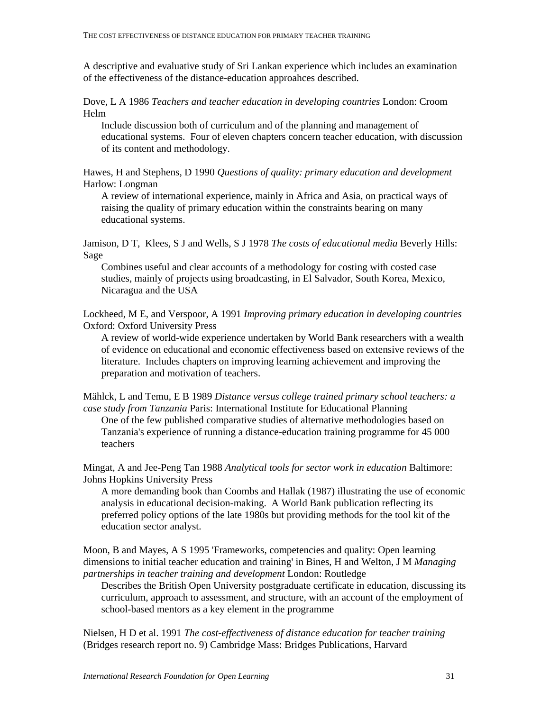A descriptive and evaluative study of Sri Lankan experience which includes an examination of the effectiveness of the distance-education approahces described.

Dove, L A 1986 *Teachers and teacher education in developing countries* London: Croom Helm

Include discussion both of curriculum and of the planning and management of educational systems. Four of eleven chapters concern teacher education, with discussion of its content and methodology.

Hawes, H and Stephens, D 1990 *Questions of quality: primary education and development* Harlow: Longman

A review of international experience, mainly in Africa and Asia, on practical ways of raising the quality of primary education within the constraints bearing on many educational systems.

Jamison, D T, Klees, S J and Wells, S J 1978 *The costs of educational media* Beverly Hills: Sage

Combines useful and clear accounts of a methodology for costing with costed case studies, mainly of projects using broadcasting, in El Salvador, South Korea, Mexico, Nicaragua and the USA

Lockheed, M E, and Verspoor, A 1991 *Improving primary education in developing countries* Oxford: Oxford University Press

A review of world-wide experience undertaken by World Bank researchers with a wealth of evidence on educational and economic effectiveness based on extensive reviews of the literature. Includes chapters on improving learning achievement and improving the preparation and motivation of teachers.

Mählck, L and Temu, E B 1989 *Distance versus college trained primary school teachers: a case study from Tanzania* Paris: International Institute for Educational Planning One of the few published comparative studies of alternative methodologies based on Tanzania's experience of running a distance-education training programme for 45 000

teachers

Mingat, A and Jee-Peng Tan 1988 *Analytical tools for sector work in education* Baltimore: Johns Hopkins University Press

A more demanding book than Coombs and Hallak (1987) illustrating the use of economic analysis in educational decision-making. A World Bank publication reflecting its preferred policy options of the late 1980s but providing methods for the tool kit of the education sector analyst.

Moon, B and Mayes, A S 1995 'Frameworks, competencies and quality: Open learning dimensions to initial teacher education and training' in Bines, H and Welton, J M *Managing partnerships in teacher training and development* London: Routledge

Describes the British Open University postgraduate certificate in education, discussing its curriculum, approach to assessment, and structure, with an account of the employment of school-based mentors as a key element in the programme

Nielsen, H D et al. 1991 *The cost-effectiveness of distance education for teacher training* (Bridges research report no. 9) Cambridge Mass: Bridges Publications, Harvard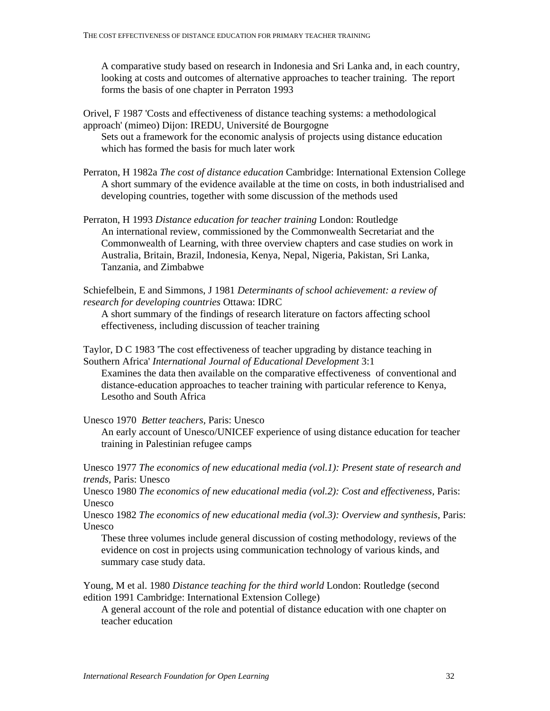A comparative study based on research in Indonesia and Sri Lanka and, in each country, looking at costs and outcomes of alternative approaches to teacher training. The report forms the basis of one chapter in Perraton 1993

Orivel, F 1987 'Costs and effectiveness of distance teaching systems: a methodological approach' (mimeo) Dijon: IREDU, Université de Bourgogne

Sets out a framework for the economic analysis of projects using distance education which has formed the basis for much later work

- Perraton, H 1982a *The cost of distance education* Cambridge: International Extension College A short summary of the evidence available at the time on costs, in both industrialised and developing countries, together with some discussion of the methods used
- Perraton, H 1993 *Distance education for teacher training* London: Routledge An international review, commissioned by the Commonwealth Secretariat and the Commonwealth of Learning, with three overview chapters and case studies on work in Australia, Britain, Brazil, Indonesia, Kenya, Nepal, Nigeria, Pakistan, Sri Lanka, Tanzania, and Zimbabwe

Schiefelbein, E and Simmons, J 1981 *Determinants of school achievement: a review of research for developing countries* Ottawa: IDRC

A short summary of the findings of research literature on factors affecting school effectiveness, including discussion of teacher training

Taylor, D C 1983 'The cost effectiveness of teacher upgrading by distance teaching in Southern Africa' *International Journal of Educational Development* 3:1 Examines the data then available on the comparative effectiveness of conventional and distance-education approaches to teacher training with particular reference to Kenya,

Lesotho and South Africa

Unesco 1970 *Better teachers,* Paris: Unesco

An early account of Unesco/UNICEF experience of using distance education for teacher training in Palestinian refugee camps

Unesco 1977 *The economics of new educational media (vol.1): Present state of research and trends,* Paris: Unesco

Unesco 1980 *The economics of new educational media (vol.2): Cost and effectiveness,* Paris: Unesco

Unesco 1982 *The economics of new educational media (vol.3): Overview and synthesis*, Paris: Unesco

These three volumes include general discussion of costing methodology, reviews of the evidence on cost in projects using communication technology of various kinds, and summary case study data.

Young, M et al. 1980 *Distance teaching for the third world* London: Routledge (second edition 1991 Cambridge: International Extension College)

A general account of the role and potential of distance education with one chapter on teacher education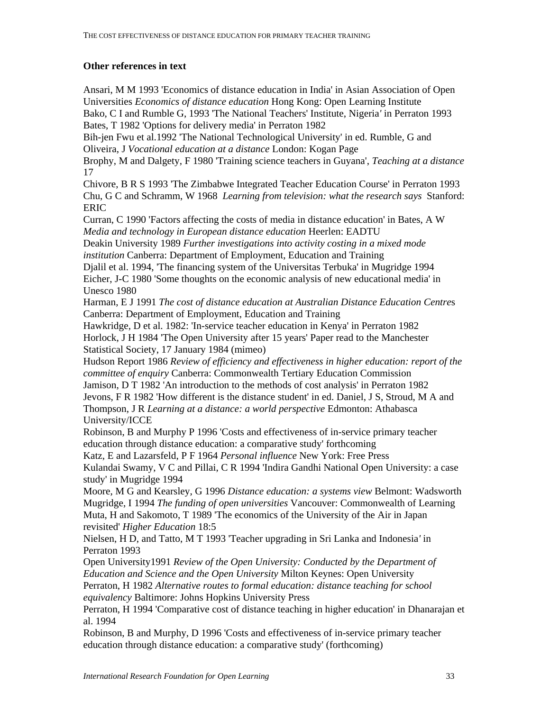## **Other references in text**

Ansari, M M 1993 'Economics of distance education in India' in Asian Association of Open Universities *Economics of distance education* Hong Kong: Open Learning Institute Bako, C I and Rumble G, 1993 'The National Teachers' Institute, Nigeria*'* in Perraton 1993 Bates, T 1982 'Options for delivery media' in Perraton 1982 Bih-jen Fwu et al.1992 'The National Technological University' in ed. Rumble, G and Oliveira, J *Vocational education at a distance* London: Kogan Page Brophy, M and Dalgety, F 1980 'Training science teachers in Guyana', *Teaching at a distance*  17 Chivore, B R S 1993 'The Zimbabwe Integrated Teacher Education Course' in Perraton 1993 Chu, G C and Schramm, W 1968 *Learning from television: what the research says* Stanford: ERIC Curran, C 1990 'Factors affecting the costs of media in distance education' in Bates, A W *Media and technology in European distance education* Heerlen: EADTU Deakin University 1989 *Further investigations into activity costing in a mixed mode institution* Canberra: Department of Employment, Education and Training Djalil et al. 1994, 'The financing system of the Universitas Terbuka' in Mugridge 1994 Eicher, J-C 1980 'Some thoughts on the economic analysis of new educational media' in Unesco 1980 Harman, E J 1991 *The cost of distance education at Australian Distance Education Centre*s Canberra: Department of Employment, Education and Training Hawkridge, D et al. 1982: 'In-service teacher education in Kenya' in Perraton 1982 Horlock, J H 1984 'The Open University after 15 years' Paper read to the Manchester Statistical Society, 17 January 1984 (mimeo) Hudson Report 1986 *Review of efficiency and effectiveness in higher education: report of the committee of enquiry* Canberra: Commonwealth Tertiary Education Commission Jamison, D T 1982 'An introduction to the methods of cost analysis' in Perraton 1982 Jevons, F R 1982 'How different is the distance student' in ed. Daniel, J S, Stroud, M A and Thompson, J R *Learning at a distance: a world perspective* Edmonton: Athabasca University/ICCE Robinson, B and Murphy P 1996 'Costs and effectiveness of in-service primary teacher education through distance education: a comparative study' forthcoming Katz, E and Lazarsfeld, P F 1964 *Personal influence* New York: Free Press Kulandai Swamy, V C and Pillai, C R 1994 'Indira Gandhi National Open University: a case study' in Mugridge 1994 Moore, M G and Kearsley, G 1996 *Distance education: a systems view* Belmont: Wadsworth Mugridge, I 1994 *The funding of open universities* Vancouver: Commonwealth of Learning Muta, H and Sakomoto, T 1989 'The economics of the University of the Air in Japan revisited' *Higher Education* 18:5 Nielsen, H D, and Tatto, M T 1993 'Teacher upgrading in Sri Lanka and Indonesia*'* in Perraton 1993 Open University1991 *Review of the Open University: Conducted by the Department of Education and Science and the Open University* Milton Keynes: Open University Perraton, H 1982 *Alternative routes to formal education: distance teaching for school* 

*equivalency* Baltimore: Johns Hopkins University Press

Perraton, H 1994 'Comparative cost of distance teaching in higher education' in Dhanarajan et al. 1994

Robinson, B and Murphy, D 1996 'Costs and effectiveness of in-service primary teacher education through distance education: a comparative study' (forthcoming)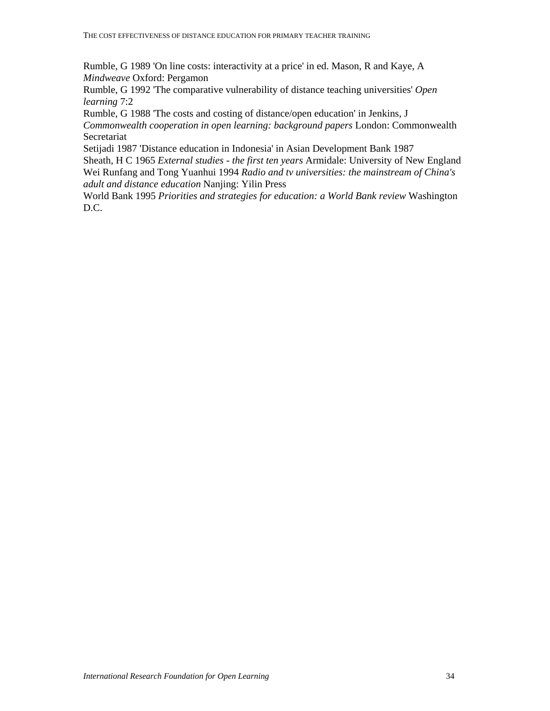Rumble, G 1989 'On line costs: interactivity at a price' in ed. Mason, R and Kaye, A *Mindweave* Oxford: Pergamon

Rumble, G 1992 'The comparative vulnerability of distance teaching universities' *Open learning* 7:2

Rumble, G 1988 'The costs and costing of distance/open education' in Jenkins, J *Commonwealth cooperation in open learning: background papers* London: Commonwealth Secretariat

Setijadi 1987 'Distance education in Indonesia' in Asian Development Bank 1987 Sheath, H C 1965 *External studies - the first ten years* Armidale: University of New England Wei Runfang and Tong Yuanhui 1994 *Radio and tv universities: the mainstream of China's adult and distance education* Nanjing: Yilin Press

World Bank 1995 *Priorities and strategies for education: a World Bank review* Washington D.C.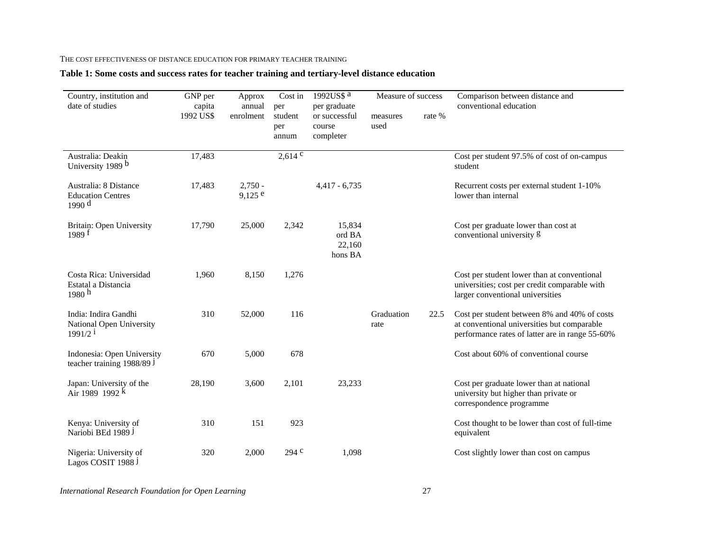#### THE COST EFFECTIVENESS OF DISTANCE EDUCATION FOR PRIMARY TEACHER TRAINING

## **Table 1: Some costs and success rates for teacher training and tertiary-level distance education**

| Country, institution and<br>date of studies                               | GNP per             | Approx                 | Cost in                        | 1992US\$ $\overline{a}$                              | Measure of success |        | Comparison between distance and                                                                                                                |
|---------------------------------------------------------------------------|---------------------|------------------------|--------------------------------|------------------------------------------------------|--------------------|--------|------------------------------------------------------------------------------------------------------------------------------------------------|
|                                                                           | capita<br>1992 US\$ | annual<br>enrolment    | per<br>student<br>per<br>annum | per graduate<br>or successful<br>course<br>completer | measures<br>used   | rate % | conventional education                                                                                                                         |
| Australia: Deakin<br>University 1989 b                                    | 17,483              |                        | $2,614^{\overline{c}}$         |                                                      |                    |        | Cost per student 97.5% of cost of on-campus<br>student                                                                                         |
| Australia: 8 Distance<br><b>Education Centres</b><br>1990 d               | 17,483              | $2,750 -$<br>$9,125$ e |                                | $4,417 - 6,735$                                      |                    |        | Recurrent costs per external student 1-10%<br>lower than internal                                                                              |
| Britain: Open University<br>1989 <sup>f</sup>                             | 17,790              | 25,000                 | 2,342                          | 15,834<br>ord BA<br>22,160<br>hons BA                |                    |        | Cost per graduate lower than cost at<br>conventional university g                                                                              |
| Costa Rica: Universidad<br>Estatal a Distancia<br>1980 h                  | 1,960               | 8,150                  | 1,276                          |                                                      |                    |        | Cost per student lower than at conventional<br>universities; cost per credit comparable with<br>larger conventional universities               |
| India: Indira Gandhi<br>National Open University<br>$1991/2$ <sup>i</sup> | 310                 | 52,000                 | 116                            |                                                      | Graduation<br>rate | 22.5   | Cost per student between 8% and 40% of costs<br>at conventional universities but comparable<br>performance rates of latter are in range 55-60% |
| Indonesia: Open University<br>teacher training 1988/89 J                  | 670                 | 5,000                  | 678                            |                                                      |                    |        | Cost about 60% of conventional course                                                                                                          |
| Japan: University of the<br>Air 1989 1992 $\vec{k}$                       | 28,190              | 3,600                  | 2,101                          | 23,233                                               |                    |        | Cost per graduate lower than at national<br>university but higher than private or<br>correspondence programme                                  |
| Kenya: University of<br>Nariobi BEd 1989 J                                | 310                 | 151                    | 923                            |                                                      |                    |        | Cost thought to be lower than cost of full-time<br>equivalent                                                                                  |
| Nigeria: University of<br>Lagos COSIT 1988 J                              | 320                 | 2,000                  | 294 <sup>c</sup>               | 1,098                                                |                    |        | Cost slightly lower than cost on campus                                                                                                        |

*International Research Foundation for Open Learning* 27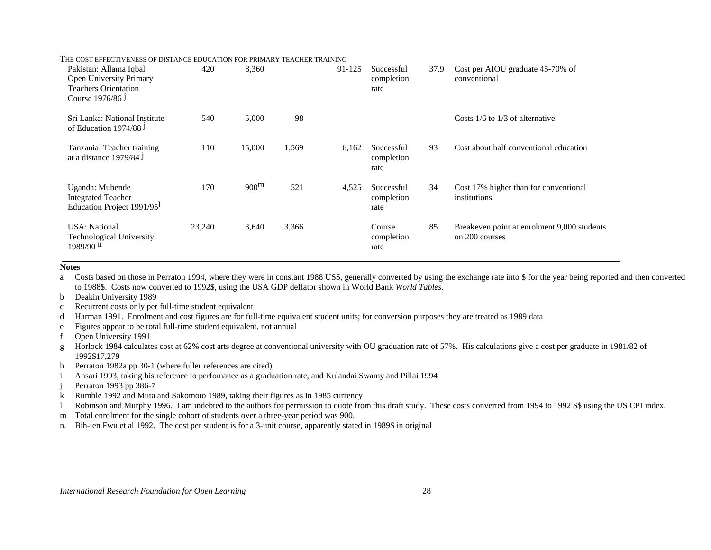| Pakistan: Allama Iqbal                                                           | 420    | 8,360            |       | 91-125 | Successful                       | 37.9 | Cost per AIOU graduate 45-70% of                              |
|----------------------------------------------------------------------------------|--------|------------------|-------|--------|----------------------------------|------|---------------------------------------------------------------|
| Open University Primary                                                          |        |                  |       |        | completion                       |      | conventional                                                  |
| <b>Teachers Orientation</b>                                                      |        |                  |       |        | rate                             |      |                                                               |
| Course 1976/86 J                                                                 |        |                  |       |        |                                  |      |                                                               |
| Sri Lanka: National Institute<br>of Education 1974/88 J                          | 540    | 5,000            | 98    |        |                                  |      | Costs $1/6$ to $1/3$ of alternative                           |
| Tanzania: Teacher training<br>at a distance 1979/84 J                            | 110    | 15,000           | 1,569 | 6,162  | Successful<br>completion<br>rate | 93   | Cost about half conventional education                        |
| Uganda: Mubende<br><b>Integrated Teacher</b><br>Education Project 1991/95        | 170    | 900 <sup>m</sup> | 521   | 4,525  | Successful<br>completion<br>rate | 34   | Cost 17% higher than for conventional<br>institutions         |
| <b>USA</b> : National<br><b>Technological University</b><br>1989/90 <sup>n</sup> | 23,240 | 3,640            | 3,366 |        | Course<br>completion<br>rate     | 85   | Breakeven point at enrolment 9,000 students<br>on 200 courses |

#### **Notes**

a Costs based on those in Perraton 1994, where they were in constant 1988 US\$, generally converted by using the exchange rate into \$ for the year being reported and then converted to 1988\$. Costs now converted to 1992\$, using the USA GDP deflator shown in World Bank *World Tables.*

b Deakin University 1989

- c Recurrent costs only per full-time student equivalent
- d Harman 1991. Enrolment and cost figures are for full-time equivalent student units; for conversion purposes they are treated as 1989 data

e Figures appear to be total full-time student equivalent, not annual

f Open University 1991

g Horlock 1984 calculates cost at 62% cost arts degree at conventional university with OU graduation rate of 57%. His calculations give a cost per graduate in 1981/82 of 1992\$17,279

h Perraton 1982a pp 30-1 (where fuller references are cited)

i Ansari 1993, taking his reference to perfomance as a graduation rate, and Kulandai Swamy and Pillai 1994

j Perraton 1993 pp 386-7

k Rumble 1992 and Muta and Sakomoto 1989, taking their figures as in 1985 currency

l Robinson and Murphy 1996. I am indebted to the authors for permission to quote from this draft study. These costs converted from 1994 to 1992 \$\$ using the US CPI index.

m Total enrolment for the single cohort of students over a three-year period was 900.

n. Bih-jen Fwu et al 1992. The cost per student is for a 3-unit course, apparently stated in 1989\$ in original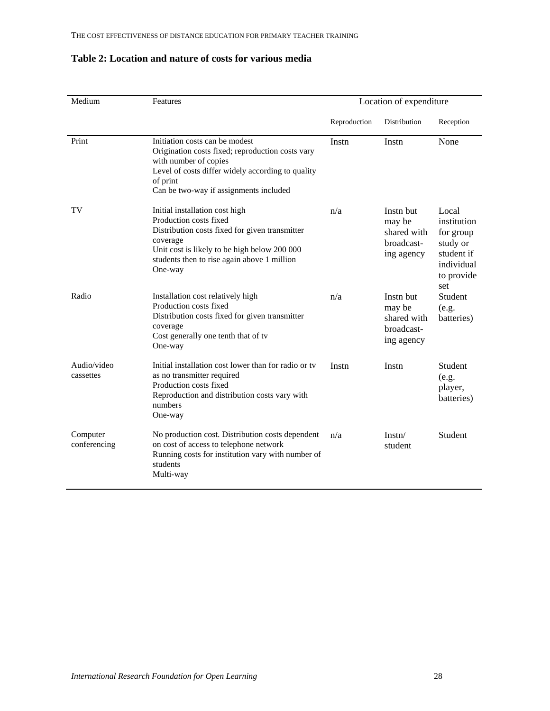| Medium                   | Features                                                                                                                                                                                                                         | Location of expenditure |                                                                |                                                                                                |  |
|--------------------------|----------------------------------------------------------------------------------------------------------------------------------------------------------------------------------------------------------------------------------|-------------------------|----------------------------------------------------------------|------------------------------------------------------------------------------------------------|--|
|                          |                                                                                                                                                                                                                                  | Reproduction            | Distribution                                                   | Reception                                                                                      |  |
| Print                    | Initiation costs can be modest<br>Origination costs fixed; reproduction costs vary<br>with number of copies<br>Level of costs differ widely according to quality<br>of print<br>Can be two-way if assignments included           | Instn                   | Instn                                                          | None                                                                                           |  |
| TV                       | Initial installation cost high<br>Production costs fixed<br>Distribution costs fixed for given transmitter<br>coverage<br>Unit cost is likely to be high below 200 000<br>students then to rise again above 1 million<br>One-way | n/a                     | Instn but<br>may be<br>shared with<br>broadcast-<br>ing agency | Local<br>institution<br>for group<br>study or<br>student if<br>individual<br>to provide<br>set |  |
| Radio                    | Installation cost relatively high<br>Production costs fixed<br>Distribution costs fixed for given transmitter<br>coverage<br>Cost generally one tenth that of tv<br>One-way                                                      | n/a                     | Instn but<br>may be<br>shared with<br>broadcast-<br>ing agency | Student<br>(e.g.<br>batteries)                                                                 |  |
| Audio/video<br>cassettes | Initial installation cost lower than for radio or ty<br>as no transmitter required<br>Production costs fixed<br>Reproduction and distribution costs vary with<br>numbers<br>One-way                                              | Instn                   | Instn                                                          | Student<br>(e.g.<br>player,<br>batteries)                                                      |  |
| Computer<br>conferencing | No production cost. Distribution costs dependent<br>on cost of access to telephone network<br>Running costs for institution vary with number of<br>students<br>Multi-way                                                         | n/a                     | Instr/<br>student                                              | Student                                                                                        |  |

## **Table 2: Location and nature of costs for various media**